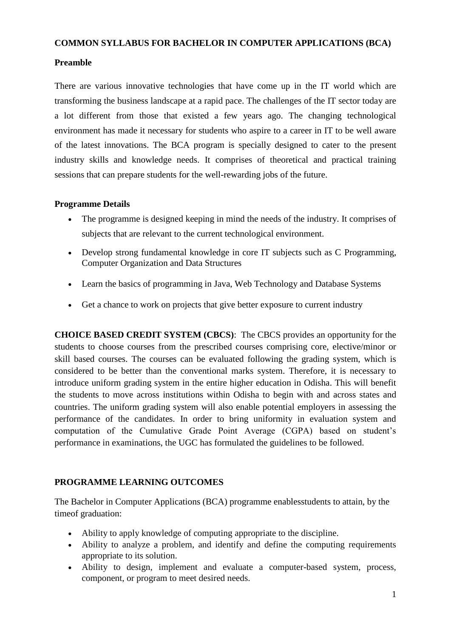#### **COMMON SYLLABUS FOR BACHELOR IN COMPUTER APPLICATIONS (BCA)**

# **Preamble**

There are various innovative technologies that have come up in the IT world which are transforming the business landscape at a rapid pace. The challenges of the IT sector today are a lot different from those that existed a few years ago. The changing technological environment has made it necessary for students who aspire to a career in IT to be well aware of the latest innovations. The BCA program is specially designed to cater to the present industry skills and knowledge needs. It comprises of theoretical and practical training sessions that can prepare students for the well-rewarding jobs of the future.

# **Programme Details**

- The programme is designed keeping in mind the needs of the industry. It comprises of subjects that are relevant to the current technological environment.
- Develop strong fundamental knowledge in core IT subjects such as C Programming, Computer Organization and Data Structures
- Learn the basics of programming in Java, Web Technology and Database Systems
- Get a chance to work on projects that give better exposure to current industry

**CHOICE BASED CREDIT SYSTEM (CBCS)**: The CBCS provides an opportunity for the students to choose courses from the prescribed courses comprising core, elective/minor or skill based courses. The courses can be evaluated following the grading system, which is considered to be better than the conventional marks system. Therefore, it is necessary to introduce uniform grading system in the entire higher education in Odisha. This will benefit the students to move across institutions within Odisha to begin with and across states and countries. The uniform grading system will also enable potential employers in assessing the performance of the candidates. In order to bring uniformity in evaluation system and computation of the Cumulative Grade Point Average (CGPA) based on student"s performance in examinations, the UGC has formulated the guidelines to be followed.

# **PROGRAMME LEARNING OUTCOMES**

The Bachelor in Computer Applications (BCA) programme enablesstudents to attain, by the timeof graduation:

- Ability to apply knowledge of computing appropriate to the discipline.
- Ability to analyze a problem, and identify and define the computing requirements appropriate to its solution.
- Ability to design, implement and evaluate a computer-based system, process, component, or program to meet desired needs.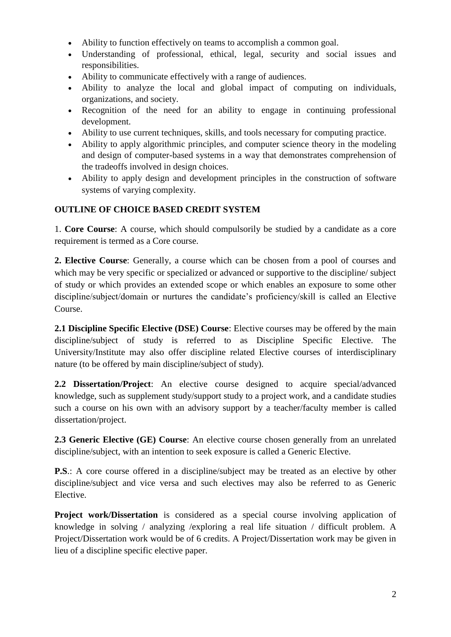- Ability to function effectively on teams to accomplish a common goal.
- Understanding of professional, ethical, legal, security and social issues and responsibilities.
- Ability to communicate effectively with a range of audiences.
- Ability to analyze the local and global impact of computing on individuals, organizations, and society.
- Recognition of the need for an ability to engage in continuing professional development.
- Ability to use current techniques, skills, and tools necessary for computing practice.
- Ability to apply algorithmic principles, and computer science theory in the modeling and design of computer-based systems in a way that demonstrates comprehension of the tradeoffs involved in design choices.
- Ability to apply design and development principles in the construction of software systems of varying complexity.

# **OUTLINE OF CHOICE BASED CREDIT SYSTEM**

1. **Core Course**: A course, which should compulsorily be studied by a candidate as a core requirement is termed as a Core course.

**2. Elective Course**: Generally, a course which can be chosen from a pool of courses and which may be very specific or specialized or advanced or supportive to the discipline/ subject of study or which provides an extended scope or which enables an exposure to some other discipline/subject/domain or nurtures the candidate's proficiency/skill is called an Elective Course.

**2.1 Discipline Specific Elective (DSE) Course**: Elective courses may be offered by the main discipline/subject of study is referred to as Discipline Specific Elective. The University/Institute may also offer discipline related Elective courses of interdisciplinary nature (to be offered by main discipline/subject of study).

**2.2 Dissertation/Project**: An elective course designed to acquire special/advanced knowledge, such as supplement study/support study to a project work, and a candidate studies such a course on his own with an advisory support by a teacher/faculty member is called dissertation/project.

**2.3 Generic Elective (GE) Course**: An elective course chosen generally from an unrelated discipline/subject, with an intention to seek exposure is called a Generic Elective.

**P.S.**: A core course offered in a discipline/subject may be treated as an elective by other discipline/subject and vice versa and such electives may also be referred to as Generic Elective.

**Project work/Dissertation** is considered as a special course involving application of knowledge in solving / analyzing /exploring a real life situation / difficult problem. A Project/Dissertation work would be of 6 credits. A Project/Dissertation work may be given in lieu of a discipline specific elective paper.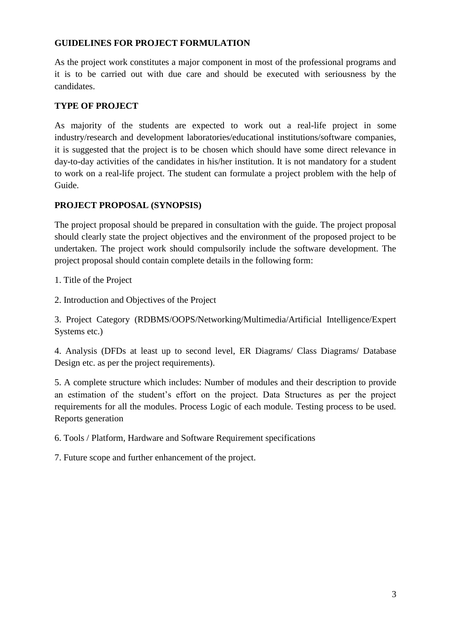# **GUIDELINES FOR PROJECT FORMULATION**

As the project work constitutes a major component in most of the professional programs and it is to be carried out with due care and should be executed with seriousness by the candidates.

# **TYPE OF PROJECT**

As majority of the students are expected to work out a real-life project in some industry/research and development laboratories/educational institutions/software companies, it is suggested that the project is to be chosen which should have some direct relevance in day-to-day activities of the candidates in his/her institution. It is not mandatory for a student to work on a real-life project. The student can formulate a project problem with the help of Guide.

# **PROJECT PROPOSAL (SYNOPSIS)**

The project proposal should be prepared in consultation with the guide. The project proposal should clearly state the project objectives and the environment of the proposed project to be undertaken. The project work should compulsorily include the software development. The project proposal should contain complete details in the following form:

1. Title of the Project

2. Introduction and Objectives of the Project

3. Project Category (RDBMS/OOPS/Networking/Multimedia/Artificial Intelligence/Expert Systems etc.)

4. Analysis (DFDs at least up to second level, ER Diagrams/ Class Diagrams/ Database Design etc. as per the project requirements).

5. A complete structure which includes: Number of modules and their description to provide an estimation of the student's effort on the project. Data Structures as per the project requirements for all the modules. Process Logic of each module. Testing process to be used. Reports generation

6. Tools / Platform, Hardware and Software Requirement specifications

7. Future scope and further enhancement of the project.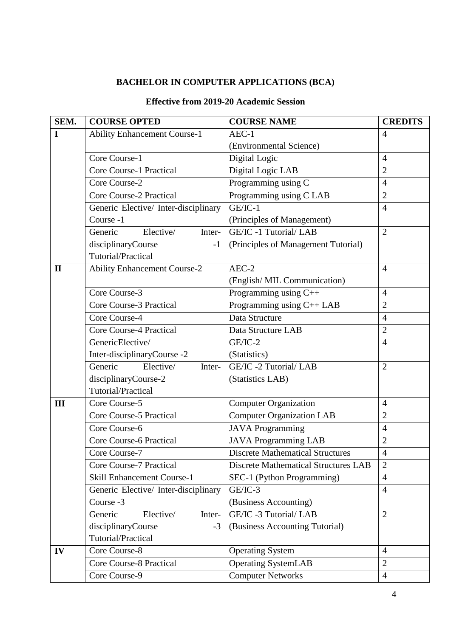# **BACHELOR IN COMPUTER APPLICATIONS (BCA)**

# **Effective from 2019-20 Academic Session**

| SEM.         | <b>COURSE OPTED</b>                  | <b>COURSE NAME</b>                          | <b>CREDITS</b>        |
|--------------|--------------------------------------|---------------------------------------------|-----------------------|
| I            | <b>Ability Enhancement Course-1</b>  | $AEC-1$                                     | $\overline{4}$        |
|              |                                      | (Environmental Science)                     |                       |
|              | Core Course-1                        | Digital Logic                               | $\overline{4}$        |
|              | <b>Core Course-1 Practical</b>       | Digital Logic LAB                           | $\overline{2}$        |
|              | Core Course-2                        | Programming using C                         | $\overline{4}$        |
|              | <b>Core Course-2 Practical</b>       | Programming using C LAB                     | $\overline{2}$        |
|              | Generic Elective/ Inter-disciplinary | GE/IC-1                                     | $\overline{4}$        |
|              | Course -1                            | (Principles of Management)                  |                       |
|              | Elective/<br>Generic<br>Inter-       | GE/IC -1 Tutorial/ LAB                      | $\overline{2}$        |
|              | disciplinaryCourse<br>$-1$           | (Principles of Management Tutorial)         |                       |
|              | Tutorial/Practical                   |                                             |                       |
| $\mathbf{I}$ | <b>Ability Enhancement Course-2</b>  | $AEC-2$                                     | $\overline{4}$        |
|              |                                      | (English/MIL Communication)                 |                       |
|              | Core Course-3                        | Programming using C++                       | $\overline{4}$        |
|              | Core Course-3 Practical              | Programming using C++ LAB                   | $\overline{2}$        |
|              | Core Course-4                        | Data Structure                              | $\overline{4}$        |
|              | <b>Core Course-4 Practical</b>       | Data Structure LAB                          | $\overline{2}$        |
|              | GenericElective/                     | $GE/IC-2$                                   | $\overline{4}$        |
|              | Inter-disciplinaryCourse -2          | (Statistics)                                |                       |
|              | Generic<br>Elective/<br>Inter-       | GE/IC -2 Tutorial/ LAB                      | $\overline{2}$        |
|              | disciplinaryCourse-2                 | (Statistics LAB)                            |                       |
|              | Tutorial/Practical                   |                                             |                       |
| III          | Core Course-5                        | <b>Computer Organization</b>                | $\overline{4}$        |
|              | <b>Core Course-5 Practical</b>       | <b>Computer Organization LAB</b>            | $\overline{2}$        |
|              | Core Course-6                        | <b>JAVA Programming</b>                     | $\overline{4}$        |
|              | <b>Core Course-6 Practical</b>       | <b>JAVA Programming LAB</b>                 | $\overline{2}$        |
|              | Core Course-7                        | <b>Discrete Mathematical Structures</b>     | $\boldsymbol{\Delta}$ |
|              | <b>Core Course-7 Practical</b>       | <b>Discrete Mathematical Structures LAB</b> | $\overline{2}$        |
|              | <b>Skill Enhancement Course-1</b>    | SEC-1 (Python Programming)                  | $\overline{4}$        |
|              | Generic Elective/ Inter-disciplinary | $GE/IC-3$                                   | $\overline{4}$        |
|              | Course -3                            | (Business Accounting)                       |                       |
|              | Elective/<br>Generic<br>Inter-       | GE/IC -3 Tutorial/ LAB                      | $\overline{2}$        |
|              | disciplinaryCourse<br>$-3$           | (Business Accounting Tutorial)              |                       |
|              | Tutorial/Practical                   |                                             |                       |
| IV           | Core Course-8                        | <b>Operating System</b>                     | $\overline{4}$        |
|              | <b>Core Course-8 Practical</b>       | <b>Operating SystemLAB</b>                  | $\overline{2}$        |
|              | Core Course-9                        | <b>Computer Networks</b>                    | $\overline{4}$        |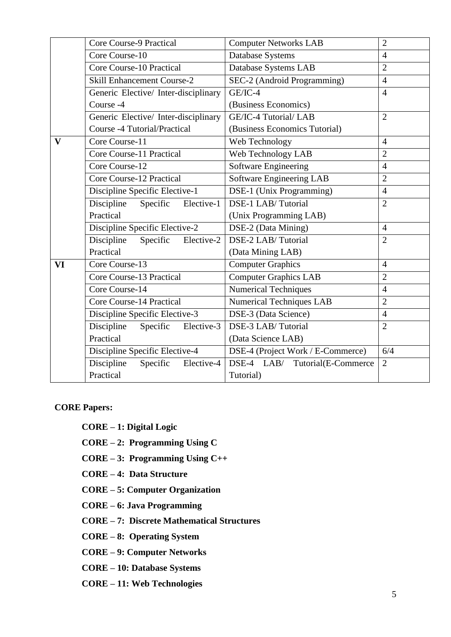|              | Core Course-9 Practical              | <b>Computer Networks LAB</b>      | $\overline{2}$ |
|--------------|--------------------------------------|-----------------------------------|----------------|
|              | Core Course-10                       | Database Systems                  | $\overline{4}$ |
|              | Core Course-10 Practical             | Database Systems LAB              | $\overline{2}$ |
|              | <b>Skill Enhancement Course-2</b>    | SEC-2 (Android Programming)       | $\overline{4}$ |
|              | Generic Elective/ Inter-disciplinary | $GE/IC-4$                         | $\overline{4}$ |
|              | Course -4                            | (Business Economics)              |                |
|              | Generic Elective/ Inter-disciplinary | GE/IC-4 Tutorial/ LAB             | $\overline{2}$ |
|              | Course -4 Tutorial/Practical         | (Business Economics Tutorial)     |                |
| $\mathbf{V}$ | Core Course-11                       | Web Technology                    | $\overline{4}$ |
|              | Core Course-11 Practical             | Web Technology LAB                | $\overline{2}$ |
|              | Core Course-12                       | <b>Software Engineering</b>       | $\overline{4}$ |
|              | Core Course-12 Practical             | <b>Software Engineering LAB</b>   | $\overline{2}$ |
|              | Discipline Specific Elective-1       | DSE-1 (Unix Programming)          | $\overline{4}$ |
|              | Discipline<br>Specific<br>Elective-1 | DSE-1 LAB/Tutorial                | $\overline{2}$ |
|              | Practical                            | (Unix Programming LAB)            |                |
|              | Discipline Specific Elective-2       | DSE-2 (Data Mining)               | $\overline{4}$ |
|              | Discipline<br>Specific<br>Elective-2 | DSE-2 LAB/Tutorial                | $\overline{2}$ |
|              | Practical                            | (Data Mining LAB)                 |                |
| VI           | Core Course-13                       | <b>Computer Graphics</b>          | $\overline{4}$ |
|              | Core Course-13 Practical             | <b>Computer Graphics LAB</b>      | $\overline{2}$ |
|              | Core Course-14                       | <b>Numerical Techniques</b>       | $\overline{4}$ |
|              | Core Course-14 Practical             | <b>Numerical Techniques LAB</b>   | $\overline{2}$ |
|              | Discipline Specific Elective-3       | DSE-3 (Data Science)              | $\overline{4}$ |
|              | Discipline<br>Specific<br>Elective-3 | DSE-3 LAB/Tutorial                | $\overline{2}$ |
|              | Practical                            | (Data Science LAB)                |                |
|              | Discipline Specific Elective-4       | DSE-4 (Project Work / E-Commerce) | 6/4            |
|              | Specific<br>Discipline<br>Elective-4 | DSE-4 LAB/ Tutorial(E-Commerce    | $\overline{2}$ |
|              | Practical                            | Tutorial)                         |                |

**CORE Papers:**

**CORE – 1: Digital Logic**

**CORE – 2: Programming Using C**

**CORE – 3: Programming Using C++**

**CORE – 4: Data Structure**

**CORE – 5: Computer Organization** 

**CORE – 6: Java Programming** 

**CORE – 7: Discrete Mathematical Structures** 

**CORE – 8: Operating System**

**CORE – 9: Computer Networks** 

**CORE – 10: Database Systems**

**CORE – 11: Web Technologies**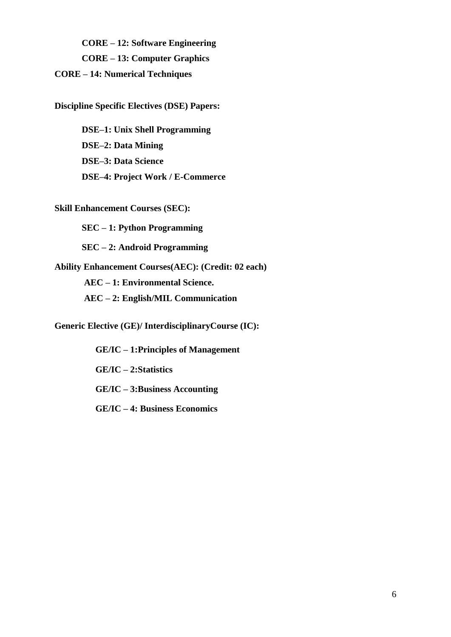**CORE – 12: Software Engineering CORE – 13: Computer Graphics CORE – 14: Numerical Techniques**

**Discipline Specific Electives (DSE) Papers:**

**DSE–1: Unix Shell Programming DSE–2: Data Mining DSE–3: Data Science DSE–4: Project Work / E-Commerce** 

**Skill Enhancement Courses (SEC):**

**SEC – 1: Python Programming** 

**SEC – 2: Android Programming**

**Ability Enhancement Courses(AEC): (Credit: 02 each) AEC – 1: Environmental Science. AEC – 2: English/MIL Communication**

**Generic Elective (GE)/ InterdisciplinaryCourse (IC):**

 **GE/IC – 1:Principles of Management GE/IC – 2:Statistics GE/IC – 3:Business Accounting**

**GE/IC – 4: Business Economics**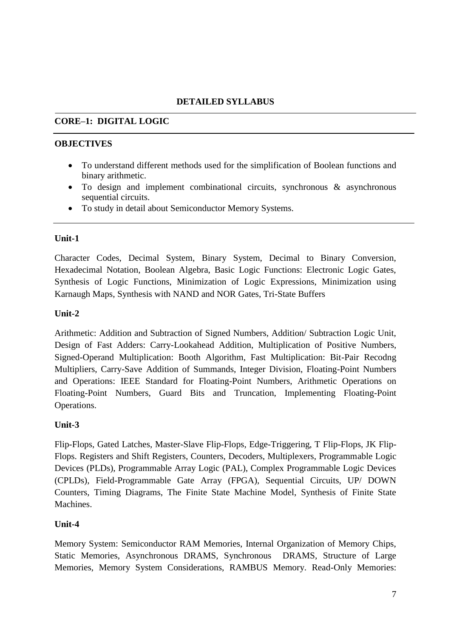# **DETAILED SYLLABUS**

# **CORE–1: DIGITAL LOGIC**

#### **OBJECTIVES**

- To understand different methods used for the simplification of Boolean functions and binary arithmetic.
- To design and implement combinational circuits, synchronous & asynchronous sequential circuits.
- To study in detail about Semiconductor Memory Systems.

### **Unit-1**

Character Codes, Decimal System, Binary System, Decimal to Binary Conversion, Hexadecimal Notation, Boolean Algebra, Basic Logic Functions: Electronic Logic Gates, Synthesis of Logic Functions, Minimization of Logic Expressions, Minimization using Karnaugh Maps, Synthesis with NAND and NOR Gates, Tri-State Buffers

### **Unit-2**

Arithmetic: Addition and Subtraction of Signed Numbers, Addition/ Subtraction Logic Unit, Design of Fast Adders: Carry-Lookahead Addition, Multiplication of Positive Numbers, Signed-Operand Multiplication: Booth Algorithm, Fast Multiplication: Bit-Pair Recodng Multipliers, Carry-Save Addition of Summands, Integer Division, Floating-Point Numbers and Operations: IEEE Standard for Floating-Point Numbers, Arithmetic Operations on Floating-Point Numbers, Guard Bits and Truncation, Implementing Floating-Point Operations.

# **Unit-3**

Flip-Flops, Gated Latches, Master-Slave Flip-Flops, Edge-Triggering, T Flip-Flops, JK Flip-Flops. Registers and Shift Registers, Counters, Decoders, Multiplexers, Programmable Logic Devices (PLDs), Programmable Array Logic (PAL), Complex Programmable Logic Devices (CPLDs), Field-Programmable Gate Array (FPGA), Sequential Circuits, UP/ DOWN Counters, Timing Diagrams, The Finite State Machine Model, Synthesis of Finite State Machines.

# **Unit-4**

Memory System: Semiconductor RAM Memories, Internal Organization of Memory Chips, Static Memories, Asynchronous DRAMS, Synchronous DRAMS, Structure of Large Memories, Memory System Considerations, RAMBUS Memory. Read-Only Memories: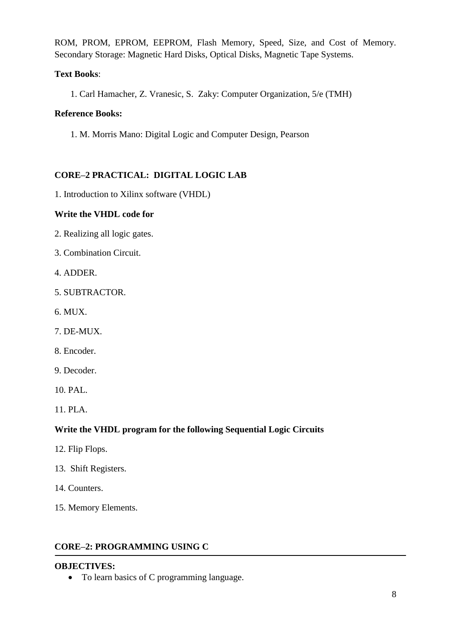ROM, PROM, EPROM, EEPROM, Flash Memory, Speed, Size, and Cost of Memory. Secondary Storage: Magnetic Hard Disks, Optical Disks, Magnetic Tape Systems.

# **Text Books**:

1. Carl Hamacher, Z. Vranesic, S. Zaky: Computer Organization, 5/e (TMH)

# **Reference Books:**

1. M. Morris Mano: Digital Logic and Computer Design, Pearson

# **CORE–2 PRACTICAL: DIGITAL LOGIC LAB**

1. Introduction to Xilinx software (VHDL)

# **Write the VHDL code for**

- 2. Realizing all logic gates.
- 3. Combination Circuit.
- 4. ADDER.
- 5. SUBTRACTOR.
- 6. MUX.
- 7. DE-MUX.
- 8. Encoder.
- 9. Decoder.
- 10. PAL.
- 11. PLA.

# **Write the VHDL program for the following Sequential Logic Circuits**

- 12. Flip Flops.
- 13. Shift Registers.
- 14. Counters.
- 15. Memory Elements.

# **CORE–2: PROGRAMMING USING C**

# **OBJECTIVES:**

• To learn basics of C programming language.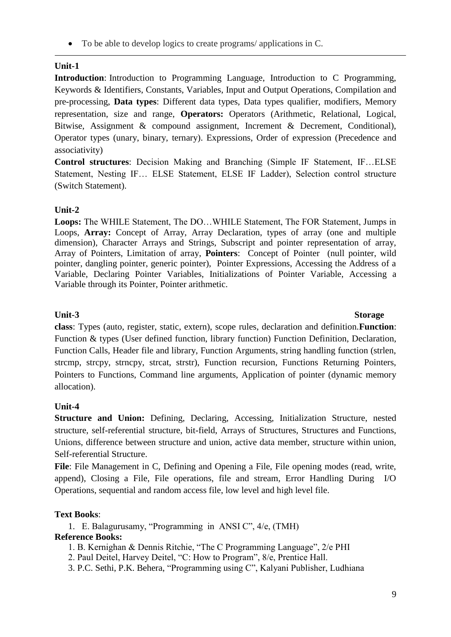To be able to develop logics to create programs/ applications in C.

# **Unit-1**

**Introduction**: Introduction to Programming Language, Introduction to C Programming, Keywords & Identifiers, Constants, Variables, Input and Output Operations, Compilation and pre-processing, **Data types**: Different data types, Data types qualifier, modifiers, Memory representation, size and range, **Operators:** Operators (Arithmetic, Relational, Logical, Bitwise, Assignment & compound assignment, Increment & Decrement, Conditional), Operator types (unary, binary, ternary). Expressions, Order of expression (Precedence and associativity)

**Control structures**: Decision Making and Branching (Simple IF Statement, IF…ELSE Statement, Nesting IF… ELSE Statement, ELSE IF Ladder), Selection control structure (Switch Statement).

# **Unit-2**

**Loops:** The WHILE Statement, The DO…WHILE Statement, The FOR Statement, Jumps in Loops, **Array:** Concept of Array, Array Declaration, types of array (one and multiple dimension), Character Arrays and Strings, Subscript and pointer representation of array, Array of Pointers, Limitation of array, **Pointers**: Concept of Pointer (null pointer, wild pointer, dangling pointer, generic pointer), Pointer Expressions, Accessing the Address of a Variable, Declaring Pointer Variables, Initializations of Pointer Variable, Accessing a Variable through its Pointer, Pointer arithmetic.

## **Unit-3 Storage**

**class**: Types (auto, register, static, extern), scope rules, declaration and definition.**Function**: Function & types (User defined function, library function) Function Definition, Declaration, Function Calls, Header file and library, Function Arguments, string handling function (strlen, strcmp, strcpy, strncpy, strcat, strstr), Function recursion, Functions Returning Pointers, Pointers to Functions, Command line arguments, Application of pointer (dynamic memory allocation).

# **Unit-4**

**Structure and Union:** Defining, Declaring, Accessing, Initialization Structure, nested structure, self-referential structure, bit-field, Arrays of Structures, Structures and Functions, Unions, difference between structure and union, active data member, structure within union, Self-referential Structure.

**File**: File Management in C, Defining and Opening a File, File opening modes (read, write, append), Closing a File, File operations, file and stream, Error Handling During I/O Operations, sequential and random access file, low level and high level file.

# **Text Books**:

1. E. Balagurusamy, "Programming in ANSI C", 4/e, (TMH)

# **Reference Books:**

- 1. B. Kernighan & Dennis Ritchie, "The C Programming Language", 2/e PHI
- 2. Paul Deitel, Harvey Deitel, "C: How to Program", 8/e, Prentice Hall.
- 3. P.C. Sethi, P.K. Behera, "Programming using C", Kalyani Publisher, Ludhiana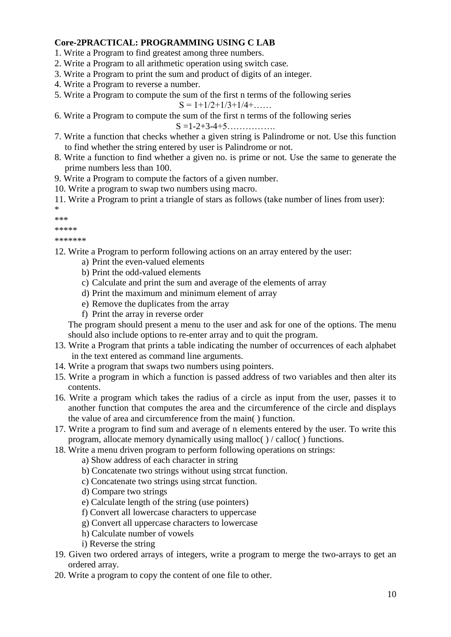## **Core-2PRACTICAL: PROGRAMMING USING C LAB**

- 1. Write a Program to find greatest among three numbers.
- 2. Write a Program to all arithmetic operation using switch case.
- 3. Write a Program to print the sum and product of digits of an integer.
- 4. Write a Program to reverse a number.
- 5. Write a Program to compute the sum of the first n terms of the following series

 $S = 1 + 1/2 + 1/3 + 1/4 + \ldots$ 

6. Write a Program to compute the sum of the first n terms of the following series

S =1-2+3-4+5…………….

- 7. Write a function that checks whether a given string is Palindrome or not. Use this function to find whether the string entered by user is Palindrome or not.
- 8. Write a function to find whether a given no. is prime or not. Use the same to generate the prime numbers less than 100.
- 9. Write a Program to compute the factors of a given number.
- 10. Write a program to swap two numbers using macro.
- 11. Write a Program to print a triangle of stars as follows (take number of lines from user):

\* \*\*\*

\*\*\*\*\*

- \*\*\*\*\*\*\*
- 12. Write a Program to perform following actions on an array entered by the user:
	- a) Print the even-valued elements
	- b) Print the odd-valued elements
	- c) Calculate and print the sum and average of the elements of array
	- d) Print the maximum and minimum element of array
	- e) Remove the duplicates from the array
	- f) Print the array in reverse order

The program should present a menu to the user and ask for one of the options. The menu should also include options to re-enter array and to quit the program.

- 13. Write a Program that prints a table indicating the number of occurrences of each alphabet in the text entered as command line arguments.
- 14. Write a program that swaps two numbers using pointers.
- 15. Write a program in which a function is passed address of two variables and then alter its contents.
- 16. Write a program which takes the radius of a circle as input from the user, passes it to another function that computes the area and the circumference of the circle and displays the value of area and circumference from the main( ) function.
- 17. Write a program to find sum and average of n elements entered by the user. To write this program, allocate memory dynamically using malloc( ) / calloc( ) functions.
- 18. Write a menu driven program to perform following operations on strings:
	- a) Show address of each character in string
	- b) Concatenate two strings without using strcat function.
	- c) Concatenate two strings using strcat function.
	- d) Compare two strings
	- e) Calculate length of the string (use pointers)
	- f) Convert all lowercase characters to uppercase
	- g) Convert all uppercase characters to lowercase
	- h) Calculate number of vowels
	- i) Reverse the string
- 19. Given two ordered arrays of integers, write a program to merge the two-arrays to get an ordered array.
- 20. Write a program to copy the content of one file to other.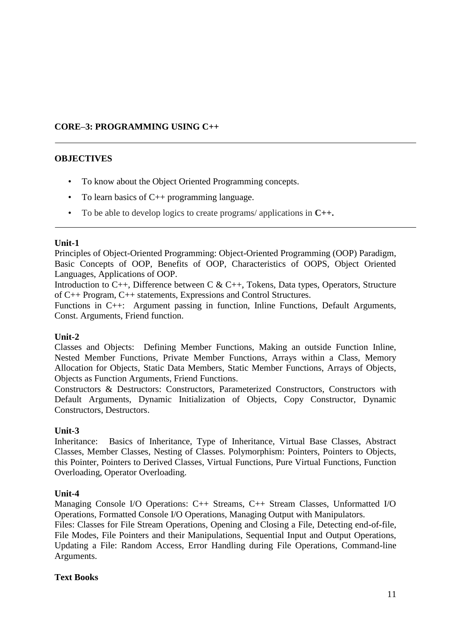# **CORE–3: PROGRAMMING USING C++**

# **OBJECTIVES**

- To know about the Object Oriented Programming concepts.
- To learn basics of C++ programming language.
- To be able to develop logics to create programs/ applications in **C++.**

#### **Unit-1**

Principles of Object-Oriented Programming: Object-Oriented Programming (OOP) Paradigm, Basic Concepts of OOP, Benefits of OOP, Characteristics of OOPS, Object Oriented Languages, Applications of OOP.

Introduction to C++, Difference between C & C++, Tokens, Data types, Operators, Structure of C++ Program, C++ statements, Expressions and Control Structures.

Functions in C++: Argument passing in function, Inline Functions, Default Arguments, Const. Arguments, Friend function.

# **Unit-2**

Classes and Objects: Defining Member Functions, Making an outside Function Inline, Nested Member Functions, Private Member Functions, Arrays within a Class, Memory Allocation for Objects, Static Data Members, Static Member Functions, Arrays of Objects, Objects as Function Arguments, Friend Functions.

Constructors & Destructors: Constructors, Parameterized Constructors, Constructors with Default Arguments, Dynamic Initialization of Objects, Copy Constructor, Dynamic Constructors, Destructors.

#### **Unit-3**

Inheritance: Basics of Inheritance, Type of Inheritance, Virtual Base Classes, Abstract Classes, Member Classes, Nesting of Classes. Polymorphism: Pointers, Pointers to Objects, this Pointer, Pointers to Derived Classes, Virtual Functions, Pure Virtual Functions, Function Overloading, Operator Overloading.

# **Unit-4**

Managing Console I/O Operations: C++ Streams, C++ Stream Classes, Unformatted I/O Operations, Formatted Console I/O Operations, Managing Output with Manipulators.

Files: Classes for File Stream Operations, Opening and Closing a File, Detecting end-of-file, File Modes, File Pointers and their Manipulations, Sequential Input and Output Operations, Updating a File: Random Access, Error Handling during File Operations, Command-line Arguments.

# **Text Books**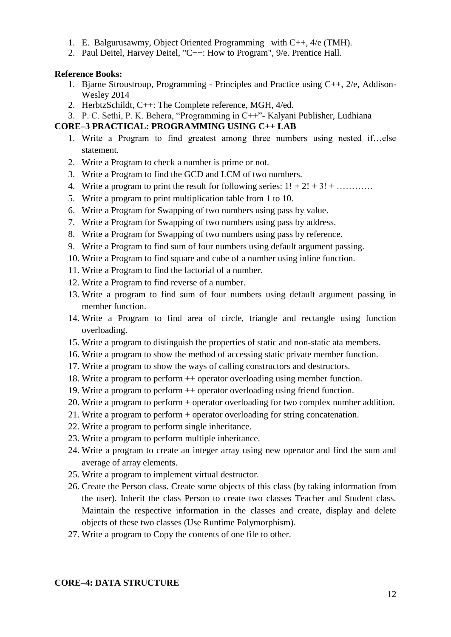- 1. E. Balgurusawmy, Object Oriented Programming with C++, 4/e (TMH).
- 2. Paul Deitel, Harvey Deitel, "C++: How to Program", 9/e. Prentice Hall.

#### **Reference Books:**

- 1. Bjarne Stroustroup, Programming Principles and Practice using C++, 2/e, Addison-Wesley 2014
- 2. HerbtzSchildt, C++: The Complete reference, MGH, 4/ed.
- 3. P. C. Sethi, P. K. Behera, "Programming in C++"- Kalyani Publisher, Ludhiana

# **CORE–3 PRACTICAL: PROGRAMMING USING C++ LAB**

- 1. Write a Program to find greatest among three numbers using nested if…else statement.
- 2. Write a Program to check a number is prime or not.
- 3. Write a Program to find the GCD and LCM of two numbers.
- 4. Write a program to print the result for following series:  $1! + 2! + 3! + \dots$
- 5. Write a program to print multiplication table from 1 to 10.
- 6. Write a Program for Swapping of two numbers using pass by value.
- 7. Write a Program for Swapping of two numbers using pass by address.
- 8. Write a Program for Swapping of two numbers using pass by reference.
- 9. Write a Program to find sum of four numbers using default argument passing.
- 10. Write a Program to find square and cube of a number using inline function.
- 11. Write a Program to find the factorial of a number.
- 12. Write a Program to find reverse of a number.
- 13. Write a program to find sum of four numbers using default argument passing in member function.
- 14. Write a Program to find area of circle, triangle and rectangle using function overloading.
- 15. Write a program to distinguish the properties of static and non-static ata members.
- 16. Write a program to show the method of accessing static private member function.
- 17. Write a program to show the ways of calling constructors and destructors.
- 18. Write a program to perform ++ operator overloading using member function.
- 19. Write a program to perform ++ operator overloading using friend function.
- 20. Write a program to perform + operator overloading for two complex number addition.
- 21. Write a program to perform + operator overloading for string concatenation.
- 22. Write a program to perform single inheritance.
- 23. Write a program to perform multiple inheritance.
- 24. Write a program to create an integer array using new operator and find the sum and average of array elements.
- 25. Write a program to implement virtual destructor.
- 26. Create the Person class. Create some objects of this class (by taking information from the user). Inherit the class Person to create two classes Teacher and Student class. Maintain the respective information in the classes and create, display and delete objects of these two classes (Use Runtime Polymorphism).
- 27. Write a program to Copy the contents of one file to other.

# **CORE–4: DATA STRUCTURE**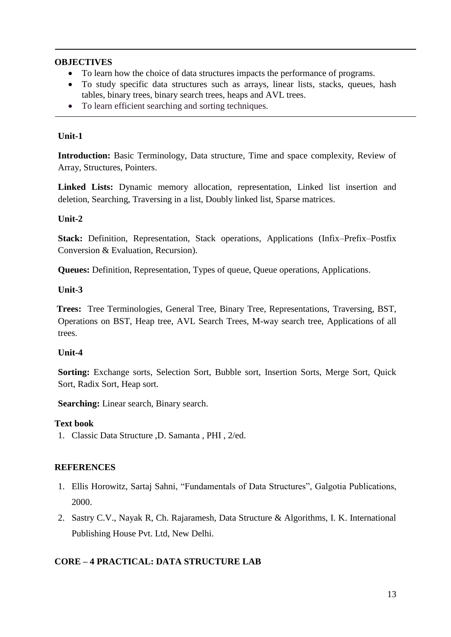## **OBJECTIVES**

- To learn how the choice of data structures impacts the performance of programs.
- To study specific data structures such as arrays, linear lists, stacks, queues, hash tables, binary trees, binary search trees, heaps and AVL trees.
- To learn efficient searching and sorting techniques.

### **Unit-1**

**Introduction:** Basic Terminology, Data structure, Time and space complexity, Review of Array, Structures, Pointers.

**Linked Lists:** Dynamic memory allocation, representation, Linked list insertion and deletion, Searching, Traversing in a list, Doubly linked list, Sparse matrices.

### **Unit-2**

**Stack:** Definition, Representation, Stack operations, Applications (Infix–Prefix–Postfix Conversion & Evaluation, Recursion).

**Queues:** Definition, Representation, Types of queue, Queue operations, Applications.

### **Unit-3**

**Trees:** Tree Terminologies, General Tree, Binary Tree, Representations, Traversing, BST, Operations on BST, Heap tree, AVL Search Trees, M-way search tree, Applications of all trees.

# **Unit-4**

**Sorting:** Exchange sorts, Selection Sort, Bubble sort, Insertion Sorts, Merge Sort, Quick Sort, Radix Sort, Heap sort.

**Searching:** Linear search, Binary search.

#### **Text book**

1. Classic Data Structure ,D. Samanta , PHI , 2/ed.

# **REFERENCES**

- 1. Ellis Horowitz, Sartaj Sahni, "Fundamentals of Data Structures", Galgotia Publications, 2000.
- 2. Sastry C.V., Nayak R, Ch. Rajaramesh, Data Structure & Algorithms, I. K. International Publishing House Pvt. Ltd, New Delhi.

# **CORE – 4 PRACTICAL: DATA STRUCTURE LAB**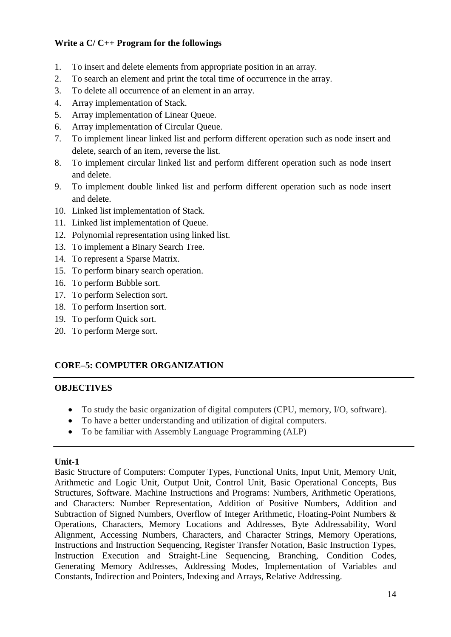# **Write a C/ C++ Program for the followings**

- 1. To insert and delete elements from appropriate position in an array.
- 2. To search an element and print the total time of occurrence in the array.
- 3. To delete all occurrence of an element in an array.
- 4. Array implementation of Stack.
- 5. Array implementation of Linear Queue.
- 6. Array implementation of Circular Queue.
- 7. To implement linear linked list and perform different operation such as node insert and delete, search of an item, reverse the list.
- 8. To implement circular linked list and perform different operation such as node insert and delete.
- 9. To implement double linked list and perform different operation such as node insert and delete.
- 10. Linked list implementation of Stack.
- 11. Linked list implementation of Queue.
- 12. Polynomial representation using linked list.
- 13. To implement a Binary Search Tree.
- 14. To represent a Sparse Matrix.
- 15. To perform binary search operation.
- 16. To perform Bubble sort.
- 17. To perform Selection sort.
- 18. To perform Insertion sort.
- 19. To perform Quick sort.
- 20. To perform Merge sort.

# **CORE–5: COMPUTER ORGANIZATION**

# **OBJECTIVES**

- To study the basic organization of digital computers (CPU, memory, I/O, software).
- To have a better understanding and utilization of digital computers.
- To be familiar with Assembly Language Programming (ALP)

# **Unit-1**

Basic Structure of Computers: Computer Types, Functional Units, Input Unit, Memory Unit, Arithmetic and Logic Unit, Output Unit, Control Unit, Basic Operational Concepts, Bus Structures, Software. Machine Instructions and Programs: Numbers, Arithmetic Operations, and Characters: Number Representation, Addition of Positive Numbers, Addition and Subtraction of Signed Numbers, Overflow of Integer Arithmetic, Floating-Point Numbers & Operations, Characters, Memory Locations and Addresses, Byte Addressability, Word Alignment, Accessing Numbers, Characters, and Character Strings, Memory Operations, Instructions and Instruction Sequencing, Register Transfer Notation, Basic Instruction Types, Instruction Execution and Straight-Line Sequencing, Branching, Condition Codes, Generating Memory Addresses, Addressing Modes, Implementation of Variables and Constants, Indirection and Pointers, Indexing and Arrays, Relative Addressing.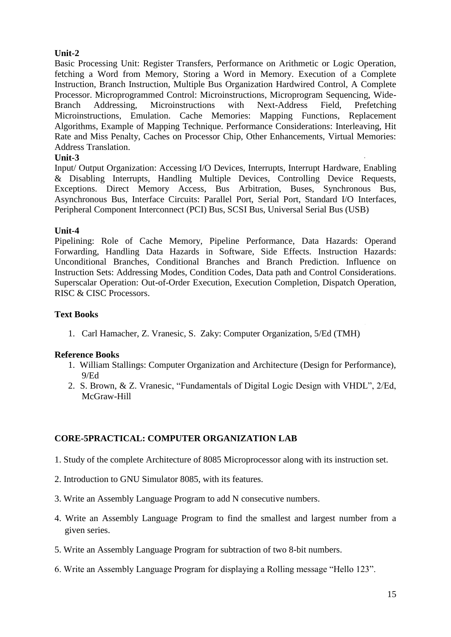# **Unit-2**

Basic Processing Unit: Register Transfers, Performance on Arithmetic or Logic Operation, fetching a Word from Memory, Storing a Word in Memory. Execution of a Complete Instruction, Branch Instruction, Multiple Bus Organization Hardwired Control, A Complete Processor. Microprogrammed Control: Microinstructions, Microprogram Sequencing, Wide-Branch Addressing, Microinstructions with Next-Address Field, Prefetching Microinstructions, Emulation. Cache Memories: Mapping Functions, Replacement Algorithms, Example of Mapping Technique. Performance Considerations: Interleaving, Hit Rate and Miss Penalty, Caches on Processor Chip, Other Enhancements, Virtual Memories: Address Translation.

# **Unit-3**

Input/ Output Organization: Accessing I/O Devices, Interrupts, Interrupt Hardware, Enabling & Disabling Interrupts, Handling Multiple Devices, Controlling Device Requests, Exceptions. Direct Memory Access, Bus Arbitration, Buses, Synchronous Bus, Asynchronous Bus, Interface Circuits: Parallel Port, Serial Port, Standard I/O Interfaces, Peripheral Component Interconnect (PCI) Bus, SCSI Bus, Universal Serial Bus (USB)

# **Unit-4**

Pipelining: Role of Cache Memory, Pipeline Performance, Data Hazards: Operand Forwarding, Handling Data Hazards in Software, Side Effects. Instruction Hazards: Unconditional Branches, Conditional Branches and Branch Prediction. Influence on Instruction Sets: Addressing Modes, Condition Codes, Data path and Control Considerations. Superscalar Operation: Out-of-Order Execution, Execution Completion, Dispatch Operation, RISC & CISC Processors.

# **Text Books**

1. Carl Hamacher, Z. Vranesic, S. Zaky: Computer Organization, 5/Ed (TMH)

# **Reference Books**

- 1. William Stallings: Computer Organization and Architecture (Design for Performance), 9/Ed
- 2. S. Brown, & Z. Vranesic, "Fundamentals of Digital Logic Design with VHDL", 2/Ed, McGraw-Hill

# **CORE-5PRACTICAL: COMPUTER ORGANIZATION LAB**

- 1. Study of the complete Architecture of 8085 Microprocessor along with its instruction set.
- 2. Introduction to GNU Simulator 8085, with its features.
- 3. Write an Assembly Language Program to add N consecutive numbers.
- 4. Write an Assembly Language Program to find the smallest and largest number from a given series.
- 5. Write an Assembly Language Program for subtraction of two 8-bit numbers.
- 6. Write an Assembly Language Program for displaying a Rolling message "Hello 123".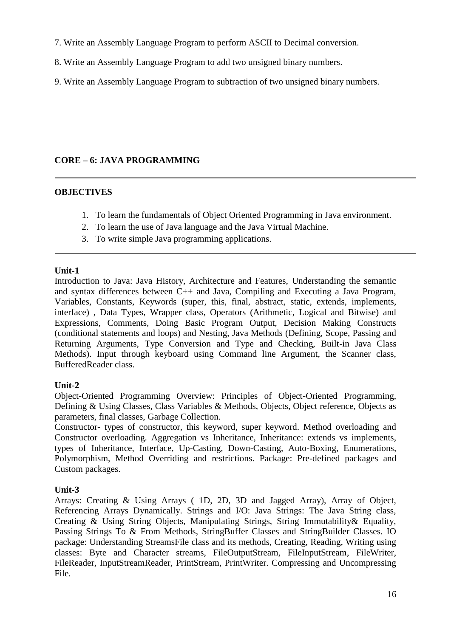- 7. Write an Assembly Language Program to perform ASCII to Decimal conversion.
- 8. Write an Assembly Language Program to add two unsigned binary numbers.
- 9. Write an Assembly Language Program to subtraction of two unsigned binary numbers.

# **CORE – 6: JAVA PROGRAMMING**

### **OBJECTIVES**

- 1. To learn the fundamentals of Object Oriented Programming in Java environment.
- 2. To learn the use of Java language and the Java Virtual Machine.
- 3. To write simple Java programming applications.

### **Unit-1**

Introduction to Java: Java History, Architecture and Features, Understanding the semantic and syntax differences between C++ and Java, Compiling and Executing a Java Program, Variables, Constants, Keywords (super, this, final, abstract, static, extends, implements, interface) , Data Types, Wrapper class, Operators (Arithmetic, Logical and Bitwise) and Expressions, Comments, Doing Basic Program Output, Decision Making Constructs (conditional statements and loops) and Nesting, Java Methods (Defining, Scope, Passing and Returning Arguments, Type Conversion and Type and Checking, Built-in Java Class Methods). Input through keyboard using Command line Argument, the Scanner class, BufferedReader class.

#### **Unit-2**

Object-Oriented Programming Overview: Principles of Object-Oriented Programming, Defining & Using Classes, Class Variables & Methods, Objects, Object reference, Objects as parameters, final classes, Garbage Collection.

Constructor- types of constructor, this keyword, super keyword. Method overloading and Constructor overloading. Aggregation vs Inheritance, Inheritance: extends vs implements, types of Inheritance, Interface, Up-Casting, Down-Casting, Auto-Boxing, Enumerations, Polymorphism, Method Overriding and restrictions. Package: Pre-defined packages and Custom packages.

# **Unit-3**

Arrays: Creating & Using Arrays ( 1D, 2D, 3D and Jagged Array), Array of Object, Referencing Arrays Dynamically. Strings and I/O: Java Strings: The Java String class, Creating & Using String Objects, Manipulating Strings, String Immutability & Equality, Passing Strings To & From Methods, StringBuffer Classes and StringBuilder Classes. IO package: Understanding StreamsFile class and its methods, Creating, Reading, Writing using classes: Byte and Character streams, FileOutputStream, FileInputStream, FileWriter, FileReader, InputStreamReader, PrintStream, PrintWriter. Compressing and Uncompressing File.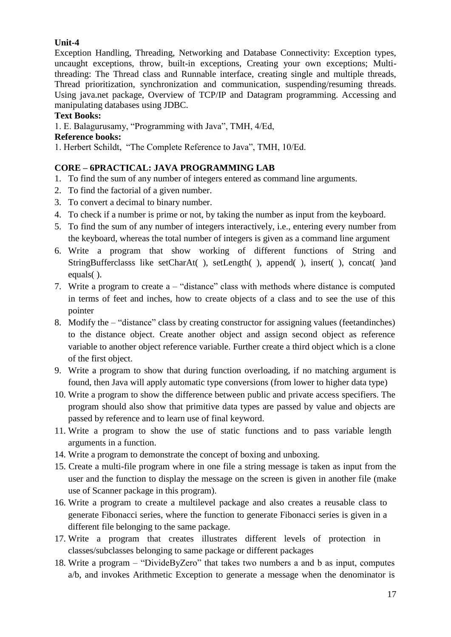# **Unit-4**

Exception Handling, Threading, Networking and Database Connectivity: Exception types, uncaught exceptions, throw, built-in exceptions, Creating your own exceptions; Multithreading: The Thread class and Runnable interface, creating single and multiple threads, Thread prioritization, synchronization and communication, suspending/resuming threads. Using java.net package, Overview of TCP/IP and Datagram programming. Accessing and manipulating databases using JDBC.

# **Text Books:**

1. E. Balagurusamy, "Programming with Java", TMH, 4/Ed,

# **Reference books:**

1. Herbert Schildt, "The Complete Reference to Java", TMH, 10/Ed.

# **CORE – 6PRACTICAL: JAVA PROGRAMMING LAB**

- 1. To find the sum of any number of integers entered as command line arguments.
- 2. To find the factorial of a given number.
- 3. To convert a decimal to binary number.
- 4. To check if a number is prime or not, by taking the number as input from the keyboard.
- 5. To find the sum of any number of integers interactively, i.e., entering every number from the keyboard, whereas the total number of integers is given as a command line argument
- 6. Write a program that show working of different functions of String and StringBufferclasss like setCharAt( ), setLength( ), append( ), insert( ), concat( )and equals( ).
- 7. Write a program to create a "distance" class with methods where distance is computed in terms of feet and inches, how to create objects of a class and to see the use of this pointer
- 8. Modify the "distance" class by creating constructor for assigning values (feetandinches) to the distance object. Create another object and assign second object as reference variable to another object reference variable. Further create a third object which is a clone of the first object.
- 9. Write a program to show that during function overloading, if no matching argument is found, then Java will apply automatic type conversions (from lower to higher data type)
- 10. Write a program to show the difference between public and private access specifiers. The program should also show that primitive data types are passed by value and objects are passed by reference and to learn use of final keyword.
- 11. Write a program to show the use of static functions and to pass variable length arguments in a function.
- 14. Write a program to demonstrate the concept of boxing and unboxing.
- 15. Create a multi-file program where in one file a string message is taken as input from the user and the function to display the message on the screen is given in another file (make use of Scanner package in this program).
- 16. Write a program to create a multilevel package and also creates a reusable class to generate Fibonacci series, where the function to generate Fibonacci series is given in a different file belonging to the same package.
- 17. Write a program that creates illustrates different levels of protection in classes/subclasses belonging to same package or different packages
- 18. Write a program "DivideByZero" that takes two numbers a and b as input, computes a/b, and invokes Arithmetic Exception to generate a message when the denominator is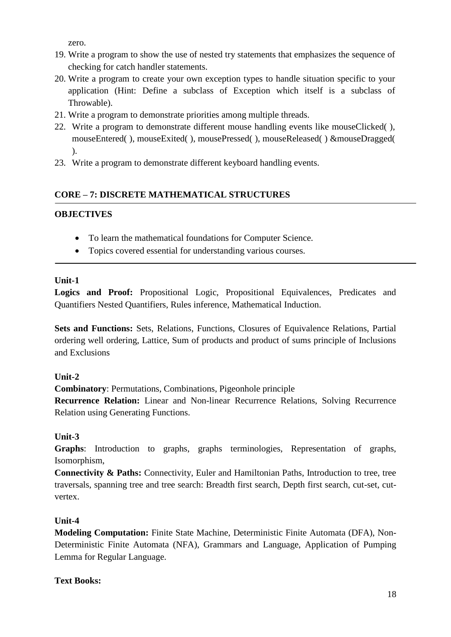zero.

- 19. Write a program to show the use of nested try statements that emphasizes the sequence of checking for catch handler statements.
- 20. Write a program to create your own exception types to handle situation specific to your application (Hint: Define a subclass of Exception which itself is a subclass of Throwable).
- 21. Write a program to demonstrate priorities among multiple threads.
- 22. Write a program to demonstrate different mouse handling events like mouseClicked( ), mouseEntered( ), mouseExited( ), mousePressed( ), mouseReleased( ) &mouseDragged( ).
- 23. Write a program to demonstrate different keyboard handling events.

# **CORE – 7: DISCRETE MATHEMATICAL STRUCTURES**

# **OBJECTIVES**

- To learn the mathematical foundations for Computer Science.
- Topics covered essential for understanding various courses.

# **Unit-1**

**Logics and Proof:** Propositional Logic, Propositional Equivalences, Predicates and Quantifiers Nested Quantifiers, Rules inference, Mathematical Induction.

**Sets and Functions:** Sets, Relations, Functions, Closures of Equivalence Relations, Partial ordering well ordering, Lattice, Sum of products and product of sums principle of Inclusions and Exclusions

# **Unit-2**

**Combinatory**: Permutations, Combinations, Pigeonhole principle

**Recurrence Relation:** Linear and Non-linear Recurrence Relations, Solving Recurrence Relation using Generating Functions.

# **Unit-3**

**Graphs**: Introduction to graphs, graphs terminologies, Representation of graphs, Isomorphism,

**Connectivity & Paths:** Connectivity, Euler and Hamiltonian Paths, Introduction to tree, tree traversals, spanning tree and tree search: Breadth first search, Depth first search, cut-set, cutvertex.

# **Unit-4**

**Modeling Computation:** Finite State Machine, Deterministic Finite Automata (DFA), Non-Deterministic Finite Automata (NFA), Grammars and Language, Application of Pumping Lemma for Regular Language.

# **Text Books:**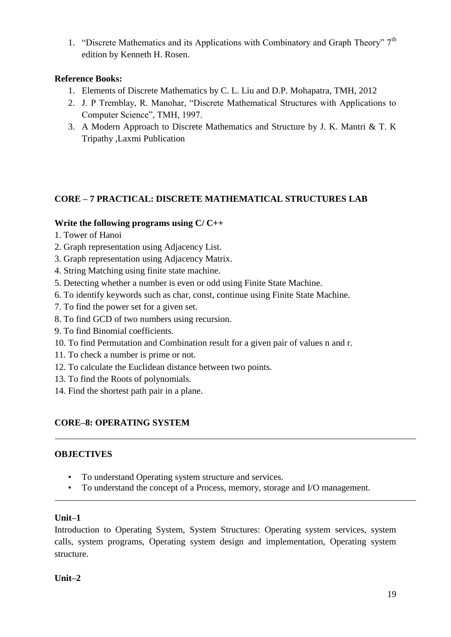1. "Discrete Mathematics and its Applications with Combinatory and Graph Theory"  $7<sup>th</sup>$ edition by Kenneth H. Rosen.

# **Reference Books:**

- 1. Elements of Discrete Mathematics by C. L. Liu and D.P. Mohapatra, TMH, 2012
- 2. J. P Tremblay, R. Manohar, "Discrete Mathematical Structures with Applications to Computer Science", TMH, 1997.
- 3. A Modern Approach to Discrete Mathematics and Structure by J. K. Mantri & T. K Tripathy ,Laxmi Publication

# **CORE – 7 PRACTICAL: DISCRETE MATHEMATICAL STRUCTURES LAB**

# **Write the following programs using C/ C++**

- 1. Tower of Hanoi
- 2. Graph representation using Adjacency List.
- 3. Graph representation using Adjacency Matrix.
- 4. String Matching using finite state machine.
- 5. Detecting whether a number is even or odd using Finite State Machine.
- 6. To identify keywords such as char, const, continue using Finite State Machine.
- 7. To find the power set for a given set.
- 8. To find GCD of two numbers using recursion.
- 9. To find Binomial coefficients.
- 10. To find Permutation and Combination result for a given pair of values n and r.
- 11. To check a number is prime or not.
- 12. To calculate the Euclidean distance between two points.
- 13. To find the Roots of polynomials.
- 14. Find the shortest path pair in a plane.

# **CORE–8: OPERATING SYSTEM**

# **OBJECTIVES**

- To understand Operating system structure and services.
- To understand the concept of a Process, memory, storage and I/O management.

# **Unit–1**

Introduction to Operating System, System Structures: Operating system services, system calls, system programs, Operating system design and implementation, Operating system structure.

# **Unit–2**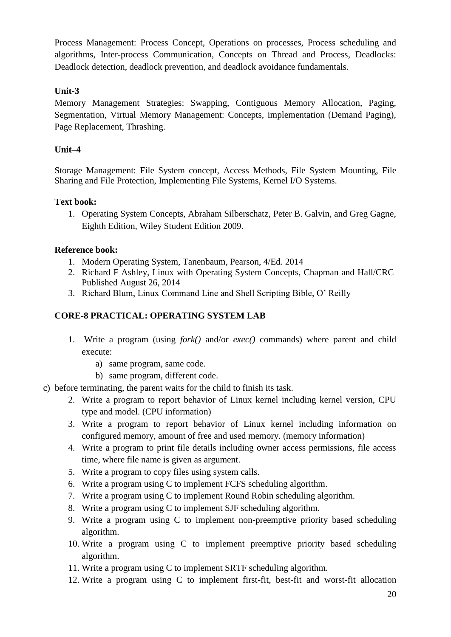Process Management: Process Concept, Operations on processes, Process scheduling and algorithms, Inter-process Communication, Concepts on Thread and Process, Deadlocks: Deadlock detection, deadlock prevention, and deadlock avoidance fundamentals.

# **Unit-3**

Memory Management Strategies: Swapping, Contiguous Memory Allocation, Paging, Segmentation, Virtual Memory Management: Concepts, implementation (Demand Paging), Page Replacement, Thrashing.

# **Unit–4**

Storage Management: File System concept, Access Methods, File System Mounting, File Sharing and File Protection, Implementing File Systems, Kernel I/O Systems.

# **Text book:**

1. Operating System Concepts, Abraham Silberschatz, Peter B. Galvin, and Greg Gagne, Eighth Edition, Wiley Student Edition 2009.

### **Reference book:**

- 1. Modern Operating System, Tanenbaum, Pearson, 4/Ed. 2014
- 2. Richard F Ashley, Linux with Operating System Concepts, Chapman and Hall/CRC Published August 26, 2014
- 3. Richard Blum, Linux Command Line and Shell Scripting Bible, O" Reilly

# **CORE-8 PRACTICAL: OPERATING SYSTEM LAB**

- 1. Write a program (using *fork()* and/or *exec()* commands) where parent and child execute:
	- a) same program, same code.
	- b) same program, different code.
- c) before terminating, the parent waits for the child to finish its task.
	- 2. Write a program to report behavior of Linux kernel including kernel version, CPU type and model. (CPU information)
	- 3. Write a program to report behavior of Linux kernel including information on configured memory, amount of free and used memory. (memory information)
	- 4. Write a program to print file details including owner access permissions, file access time, where file name is given as argument.
	- 5. Write a program to copy files using system calls.
	- 6. Write a program using C to implement FCFS scheduling algorithm.
	- 7. Write a program using C to implement Round Robin scheduling algorithm.
	- 8. Write a program using C to implement SJF scheduling algorithm.
	- 9. Write a program using C to implement non-preemptive priority based scheduling algorithm.
	- 10. Write a program using C to implement preemptive priority based scheduling algorithm.
	- 11. Write a program using C to implement SRTF scheduling algorithm.
	- 12. Write a program using C to implement first-fit, best-fit and worst-fit allocation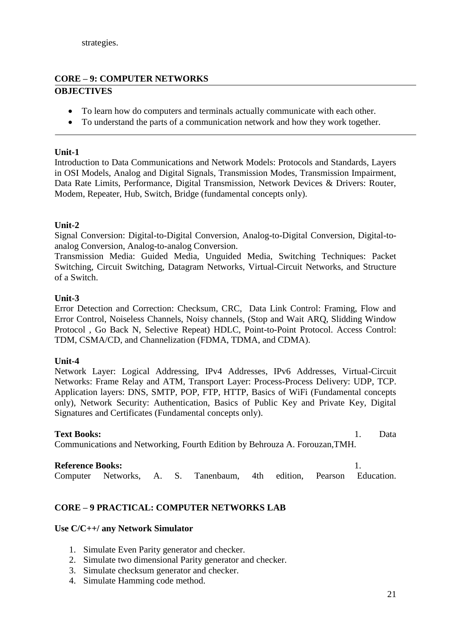# **CORE – 9: COMPUTER NETWORKS OBJECTIVES**

- To learn how do computers and terminals actually communicate with each other.
- To understand the parts of a communication network and how they work together.

#### **Unit-1**

Introduction to Data Communications and Network Models: Protocols and Standards, Layers in OSI Models, Analog and Digital Signals, Transmission Modes, Transmission Impairment, Data Rate Limits, Performance, Digital Transmission, Network Devices & Drivers: Router, Modem, Repeater, Hub, Switch, Bridge (fundamental concepts only).

# **Unit-2**

Signal Conversion: Digital-to-Digital Conversion, Analog-to-Digital Conversion, Digital-toanalog Conversion, Analog-to-analog Conversion.

Transmission Media: Guided Media, Unguided Media, Switching Techniques: Packet Switching, Circuit Switching, Datagram Networks, Virtual-Circuit Networks, and Structure of a Switch.

#### **Unit-3**

Error Detection and Correction: Checksum, CRC, Data Link Control: Framing, Flow and Error Control, Noiseless Channels, Noisy channels, (Stop and Wait ARQ, Slidding Window Protocol , Go Back N, Selective Repeat) HDLC, Point-to-Point Protocol. Access Control: TDM, CSMA/CD, and Channelization (FDMA, TDMA, and CDMA).

#### **Unit-4**

Network Layer: Logical Addressing, IPv4 Addresses, IPv6 Addresses, Virtual-Circuit Networks: Frame Relay and ATM, Transport Layer: Process-Process Delivery: UDP, TCP. Application layers: DNS, SMTP, POP, FTP, HTTP, Basics of WiFi (Fundamental concepts only), Network Security: Authentication, Basics of Public Key and Private Key, Digital Signatures and Certificates (Fundamental concepts only).

#### Text Books: 1. Data

Communications and Networking, Fourth Edition by Behrouza A. Forouzan,TMH.

**Reference Books:** 1. Computer Networks, A. S. Tanenbaum, 4th edition, Pearson Education.

# **CORE – 9 PRACTICAL: COMPUTER NETWORKS LAB**

#### **Use C/C++/ any Network Simulator**

- 1. Simulate Even Parity generator and checker.
- 2. Simulate two dimensional Parity generator and checker.
- 3. Simulate checksum generator and checker.
- 4. Simulate Hamming code method.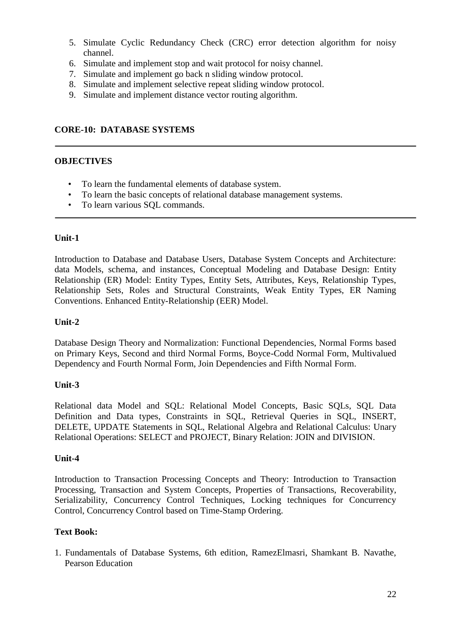- 5. Simulate Cyclic Redundancy Check (CRC) error detection algorithm for noisy channel.
- 6. Simulate and implement stop and wait protocol for noisy channel.
- 7. Simulate and implement go back n sliding window protocol.
- 8. Simulate and implement selective repeat sliding window protocol.
- 9. Simulate and implement distance vector routing algorithm.

### **CORE-10: DATABASE SYSTEMS**

#### **OBJECTIVES**

- To learn the fundamental elements of database system.
- To learn the basic concepts of relational database management systems.
- To learn various SQL commands.

### **Unit-1**

Introduction to Database and Database Users, Database System Concepts and Architecture: data Models, schema, and instances, Conceptual Modeling and Database Design: Entity Relationship (ER) Model: Entity Types, Entity Sets, Attributes, Keys, Relationship Types, Relationship Sets, Roles and Structural Constraints, Weak Entity Types, ER Naming Conventions. Enhanced Entity-Relationship (EER) Model.

#### **Unit-2**

Database Design Theory and Normalization: Functional Dependencies, Normal Forms based on Primary Keys, Second and third Normal Forms, Boyce-Codd Normal Form, Multivalued Dependency and Fourth Normal Form, Join Dependencies and Fifth Normal Form.

#### **Unit-3**

Relational data Model and SQL: Relational Model Concepts, Basic SQLs, SQL Data Definition and Data types, Constraints in SQL, Retrieval Queries in SQL, INSERT, DELETE, UPDATE Statements in SQL, Relational Algebra and Relational Calculus: Unary Relational Operations: SELECT and PROJECT, Binary Relation: JOIN and DIVISION.

#### **Unit-4**

Introduction to Transaction Processing Concepts and Theory: Introduction to Transaction Processing, Transaction and System Concepts, Properties of Transactions, Recoverability, Serializability, Concurrency Control Techniques, Locking techniques for Concurrency Control, Concurrency Control based on Time-Stamp Ordering.

#### **Text Book:**

1. Fundamentals of Database Systems, 6th edition, RamezElmasri, Shamkant B. Navathe, Pearson Education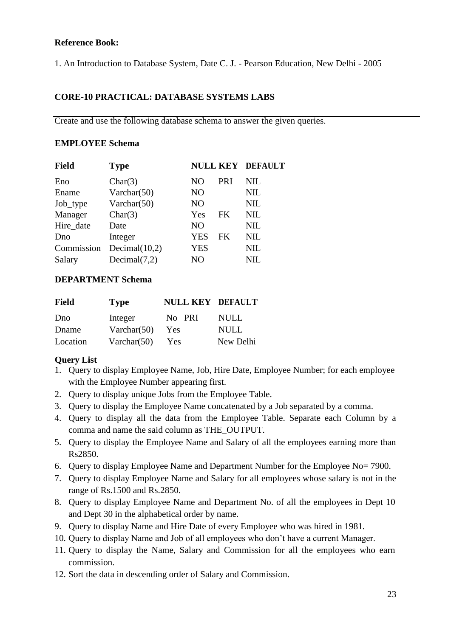# **Reference Book:**

1. An Introduction to Database System, Date C. J. - Pearson Education, New Delhi - 2005

# **CORE-10 PRACTICAL: DATABASE SYSTEMS LABS**

Create and use the following database schema to answer the given queries.

# **EMPLOYEE Schema**

| <b>Field</b> | <b>Type</b>      |                |     | <b>NULL KEY DEFAULT</b> |
|--------------|------------------|----------------|-----|-------------------------|
| Eno          | Char(3)          | NO             | PRI | NIL                     |
| Ename        | Varchar $(50)$   | N <sub>O</sub> |     | NIL                     |
| Job_type     | Varchar $(50)$   | N <sub>O</sub> |     | <b>NIL</b>              |
| Manager      | Char(3)          | Yes            | FK. | <b>NIL</b>              |
| Hire date    | Date             | N <sub>O</sub> |     | <b>NIL</b>              |
| Dno          | Integer          | YES            | FK  | <b>NIL</b>              |
| Commission   | Decimal $(10,2)$ | <b>YES</b>     |     | <b>NIL</b>              |
| Salary       | Decimal(7,2)     | NO             |     | NIL.                    |

# **DEPARTMENT Schema**

| Field    | <b>Type</b>    | <b>NULL KEY DEFAULT</b> |             |
|----------|----------------|-------------------------|-------------|
| Dno      | Integer        | No PRI                  | NULL.       |
| Dname    | Varchar $(50)$ | Yes                     | <b>NULL</b> |
| Location | Varchar $(50)$ | Yes                     | New Delhi   |

# **Query List**

- 1. Query to display Employee Name, Job, Hire Date, Employee Number; for each employee with the Employee Number appearing first.
- 2. Query to display unique Jobs from the Employee Table.
- 3. Query to display the Employee Name concatenated by a Job separated by a comma.
- 4. Query to display all the data from the Employee Table. Separate each Column by a comma and name the said column as THE\_OUTPUT.
- 5. Query to display the Employee Name and Salary of all the employees earning more than Rs2850.
- 6. Query to display Employee Name and Department Number for the Employee No= 7900.
- 7. Query to display Employee Name and Salary for all employees whose salary is not in the range of Rs.1500 and Rs.2850.
- 8. Query to display Employee Name and Department No. of all the employees in Dept 10 and Dept 30 in the alphabetical order by name.
- 9. Query to display Name and Hire Date of every Employee who was hired in 1981.
- 10. Query to display Name and Job of all employees who don"t have a current Manager.
- 11. Query to display the Name, Salary and Commission for all the employees who earn commission.
- 12. Sort the data in descending order of Salary and Commission.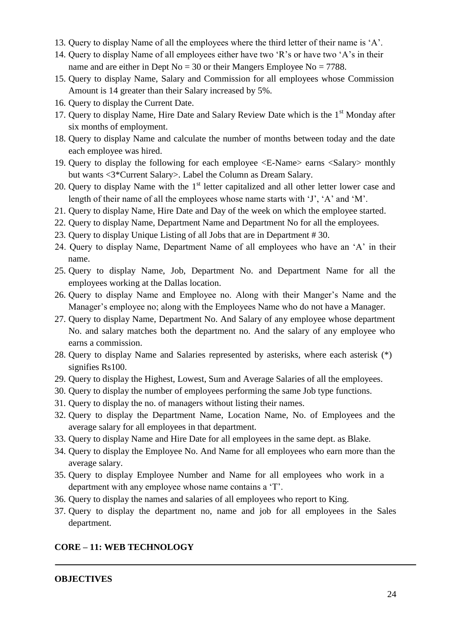- 13. Query to display Name of all the employees where the third letter of their name is "A".
- 14. Query to display Name of all employees either have two "R"s or have two "A"s in their name and are either in Dept No =  $30$  or their Mangers Employee No =  $7788$ .
- 15. Query to display Name, Salary and Commission for all employees whose Commission Amount is 14 greater than their Salary increased by 5%.
- 16. Query to display the Current Date.
- 17. Query to display Name, Hire Date and Salary Review Date which is the 1<sup>st</sup> Monday after six months of employment.
- 18. Query to display Name and calculate the number of months between today and the date each employee was hired.
- 19. Query to display the following for each employee <E-Name> earns <Salary> monthly but wants <3\*Current Salary>. Label the Column as Dream Salary.
- 20. Query to display Name with the  $1<sup>st</sup>$  letter capitalized and all other letter lower case and length of their name of all the employees whose name starts with 'J', 'A' and 'M'.
- 21. Query to display Name, Hire Date and Day of the week on which the employee started.
- 22. Query to display Name, Department Name and Department No for all the employees.
- 23. Query to display Unique Listing of all Jobs that are in Department # 30.
- 24. Query to display Name, Department Name of all employees who have an "A" in their name.
- 25. Query to display Name, Job, Department No. and Department Name for all the employees working at the Dallas location.
- 26. Query to display Name and Employee no. Along with their Manger"s Name and the Manager's employee no; along with the Employees Name who do not have a Manager.
- 27. Query to display Name, Department No. And Salary of any employee whose department No. and salary matches both the department no. And the salary of any employee who earns a commission.
- 28. Query to display Name and Salaries represented by asterisks, where each asterisk (\*) signifies Rs100.
- 29. Query to display the Highest, Lowest, Sum and Average Salaries of all the employees.
- 30. Query to display the number of employees performing the same Job type functions.
- 31. Query to display the no. of managers without listing their names.
- 32. Query to display the Department Name, Location Name, No. of Employees and the average salary for all employees in that department.
- 33. Query to display Name and Hire Date for all employees in the same dept. as Blake.
- 34. Query to display the Employee No. And Name for all employees who earn more than the average salary.
- 35. Query to display Employee Number and Name for all employees who work in a department with any employee whose name contains a "T".
- 36. Query to display the names and salaries of all employees who report to King.
- 37. Query to display the department no, name and job for all employees in the Sales department.

#### **CORE – 11: WEB TECHNOLOGY**

#### **OBJECTIVES**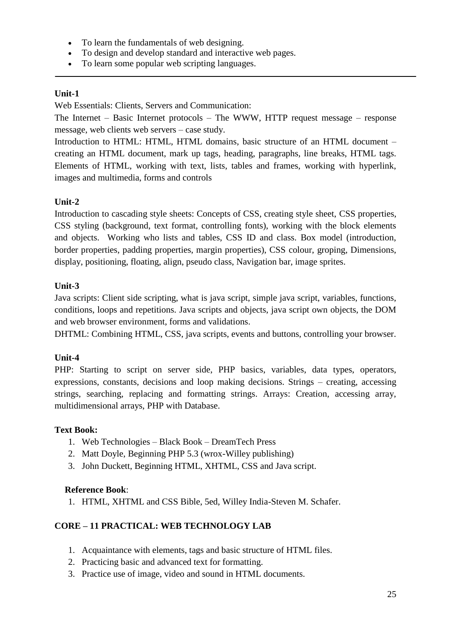- To learn the fundamentals of web designing.
- To design and develop standard and interactive web pages.
- To learn some popular web scripting languages.

# **Unit-1**

Web Essentials: Clients, Servers and Communication:

The Internet – Basic Internet protocols – The WWW, HTTP request message – response message, web clients web servers – case study.

Introduction to HTML: HTML, HTML domains, basic structure of an HTML document – creating an HTML document, mark up tags, heading, paragraphs, line breaks, HTML tags. Elements of HTML, working with text, lists, tables and frames, working with hyperlink, images and multimedia, forms and controls

# **Unit-2**

Introduction to cascading style sheets: Concepts of CSS, creating style sheet, CSS properties, CSS styling (background, text format, controlling fonts), working with the block elements and objects. Working who lists and tables, CSS ID and class. Box model (introduction, border properties, padding properties, margin properties), CSS colour, groping, Dimensions, display, positioning, floating, align, pseudo class, Navigation bar, image sprites.

# **Unit-3**

Java scripts: Client side scripting, what is java script, simple java script, variables, functions, conditions, loops and repetitions. Java scripts and objects, java script own objects, the DOM and web browser environment, forms and validations.

DHTML: Combining HTML, CSS, java scripts, events and buttons, controlling your browser.

# **Unit-4**

PHP: Starting to script on server side, PHP basics, variables, data types, operators, expressions, constants, decisions and loop making decisions. Strings – creating, accessing strings, searching, replacing and formatting strings. Arrays: Creation, accessing array, multidimensional arrays, PHP with Database.

# **Text Book:**

- 1. Web Technologies Black Book DreamTech Press
- 2. Matt Doyle, Beginning PHP 5.3 (wrox-Willey publishing)
- 3. John Duckett, Beginning HTML, XHTML, CSS and Java script.

# **Reference Book**:

1. HTML, XHTML and CSS Bible, 5ed, Willey India-Steven M. Schafer.

# **CORE – 11 PRACTICAL: WEB TECHNOLOGY LAB**

- 1. Acquaintance with elements, tags and basic structure of HTML files.
- 2. Practicing basic and advanced text for formatting.
- 3. Practice use of image, video and sound in HTML documents.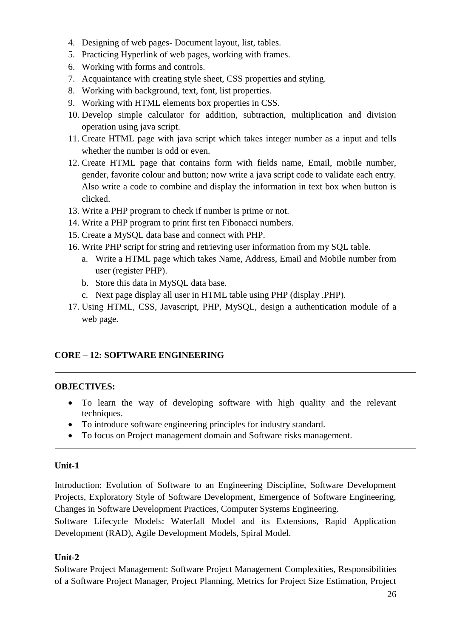- 4. Designing of web pages- Document layout, list, tables.
- 5. Practicing Hyperlink of web pages, working with frames.
- 6. Working with forms and controls.
- 7. Acquaintance with creating style sheet, CSS properties and styling.
- 8. Working with background, text, font, list properties.
- 9. Working with HTML elements box properties in CSS.
- 10. Develop simple calculator for addition, subtraction, multiplication and division operation using java script.
- 11. Create HTML page with java script which takes integer number as a input and tells whether the number is odd or even.
- 12. Create HTML page that contains form with fields name, Email, mobile number, gender, favorite colour and button; now write a java script code to validate each entry. Also write a code to combine and display the information in text box when button is clicked.
- 13. Write a PHP program to check if number is prime or not.
- 14. Write a PHP program to print first ten Fibonacci numbers.
- 15. Create a MySQL data base and connect with PHP.
- 16. Write PHP script for string and retrieving user information from my SQL table.
	- a. Write a HTML page which takes Name, Address, Email and Mobile number from user (register PHP).
	- b. Store this data in MySQL data base.
	- c. Next page display all user in HTML table using PHP (display .PHP).
- 17. Using HTML, CSS, Javascript, PHP, MySQL, design a authentication module of a web page.

# **CORE – 12: SOFTWARE ENGINEERING**

# **OBJECTIVES:**

- To learn the way of developing software with high quality and the relevant techniques.
- To introduce software engineering principles for industry standard.
- To focus on Project management domain and Software risks management.

# **Unit-1**

Introduction: Evolution of Software to an Engineering Discipline, Software Development Projects, Exploratory Style of Software Development, Emergence of Software Engineering, Changes in Software Development Practices, Computer Systems Engineering.

Software Lifecycle Models: Waterfall Model and its Extensions, Rapid Application Development (RAD), Agile Development Models, Spiral Model.

# **Unit-2**

Software Project Management: Software Project Management Complexities, Responsibilities of a Software Project Manager, Project Planning, Metrics for Project Size Estimation, Project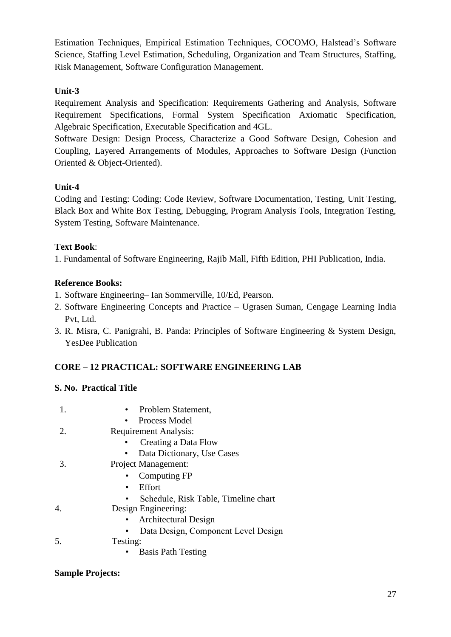Estimation Techniques, Empirical Estimation Techniques, COCOMO, Halstead's Software Science, Staffing Level Estimation, Scheduling, Organization and Team Structures, Staffing, Risk Management, Software Configuration Management.

# **Unit-3**

Requirement Analysis and Specification: Requirements Gathering and Analysis, Software Requirement Specifications, Formal System Specification Axiomatic Specification, Algebraic Specification, Executable Specification and 4GL.

Software Design: Design Process, Characterize a Good Software Design, Cohesion and Coupling, Layered Arrangements of Modules, Approaches to Software Design (Function Oriented & Object-Oriented).

# **Unit-4**

Coding and Testing: Coding: Code Review, Software Documentation, Testing, Unit Testing, Black Box and White Box Testing, Debugging, Program Analysis Tools, Integration Testing, System Testing, Software Maintenance.

# **Text Book**:

1. Fundamental of Software Engineering, Rajib Mall, Fifth Edition, PHI Publication, India.

# **Reference Books:**

- 1. Software Engineering– Ian Sommerville, 10/Ed, Pearson.
- 2. Software Engineering Concepts and Practice Ugrasen Suman, Cengage Learning India Pvt, Ltd.
- 3. R. Misra, C. Panigrahi, B. Panda: Principles of Software Engineering & System Design, YesDee Publication

# **CORE – 12 PRACTICAL: SOFTWARE ENGINEERING LAB**

# **S. No. Practical Title**

|    | • Problem Statement,                 |
|----|--------------------------------------|
|    | Process Model                        |
| 2. | <b>Requirement Analysis:</b>         |
|    | Creating a Data Flow                 |
|    | Data Dictionary, Use Cases           |
| 3. | <b>Project Management:</b>           |
|    | Computing FP                         |
|    | Effort<br>٠                          |
|    | Schedule, Risk Table, Timeline chart |
| 4. | Design Engineering:                  |
|    | <b>Architectural Design</b>          |
|    | Data Design, Component Level Design  |
| 5. | Testing:                             |
|    | <b>Basis Path Testing</b>            |

# **Sample Projects:**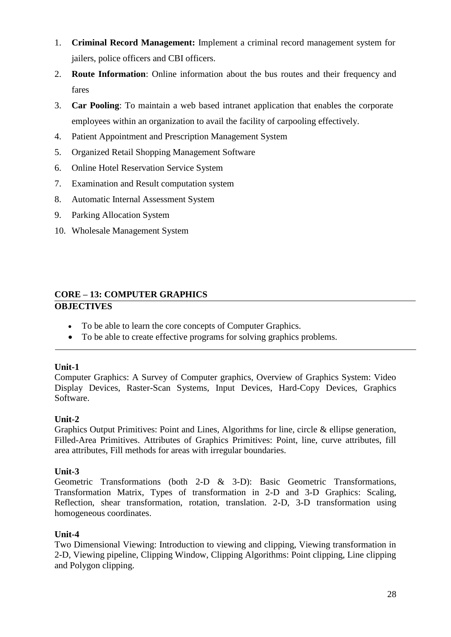- 1. **Criminal Record Management:** Implement a criminal record management system for jailers, police officers and CBI officers.
- 2. **Route Information**: Online information about the bus routes and their frequency and fares
- 3. **Car Pooling**: To maintain a web based intranet application that enables the corporate employees within an organization to avail the facility of carpooling effectively.
- 4. Patient Appointment and Prescription Management System
- 5. Organized Retail Shopping Management Software
- 6. Online Hotel Reservation Service System
- 7. Examination and Result computation system
- 8. Automatic Internal Assessment System
- 9. Parking Allocation System
- 10. Wholesale Management System

# **CORE – 13: COMPUTER GRAPHICS OBJECTIVES**

- To be able to learn the core concepts of Computer Graphics.
- To be able to create effective programs for solving graphics problems.

# **Unit-1**

Computer Graphics: A Survey of Computer graphics, Overview of Graphics System: Video Display Devices, Raster-Scan Systems, Input Devices, Hard-Copy Devices, Graphics Software.

# **Unit-2**

Graphics Output Primitives: Point and Lines, Algorithms for line, circle & ellipse generation, Filled-Area Primitives. Attributes of Graphics Primitives: Point, line, curve attributes, fill area attributes, Fill methods for areas with irregular boundaries.

# **Unit-3**

Geometric Transformations (both 2-D & 3-D): Basic Geometric Transformations, Transformation Matrix, Types of transformation in 2-D and 3-D Graphics: Scaling, Reflection, shear transformation, rotation, translation. 2-D, 3-D transformation using homogeneous coordinates.

# **Unit-4**

Two Dimensional Viewing: Introduction to viewing and clipping, Viewing transformation in 2-D, Viewing pipeline, Clipping Window, Clipping Algorithms: Point clipping, Line clipping and Polygon clipping.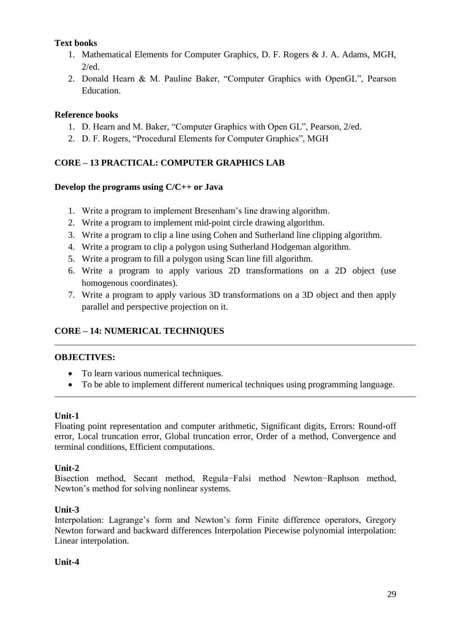# **Text books**

- 1. Mathematical Elements for Computer Graphics, D. F. Rogers & J. A. Adams, MGH, 2/ed.
- 2. Donald Hearn & M. Pauline Baker, "Computer Graphics with OpenGL", Pearson Education.

# **Reference books**

- 1. D. Hearn and M. Baker, "Computer Graphics with Open GL", Pearson, 2/ed.
- 2. D. F. Rogers, "Procedural Elements for Computer Graphics", MGH

# **CORE – 13 PRACTICAL: COMPUTER GRAPHICS LAB**

### **Develop the programs using C/C++ or Java**

- 1. Write a program to implement Bresenham"s line drawing algorithm.
- 2. Write a program to implement mid-point circle drawing algorithm.
- 3. Write a program to clip a line using Cohen and Sutherland line clipping algorithm.
- 4. Write a program to clip a polygon using Sutherland Hodgeman algorithm.
- 5. Write a program to fill a polygon using Scan line fill algorithm.
- 6. Write a program to apply various 2D transformations on a 2D object (use homogenous coordinates).
- 7. Write a program to apply various 3D transformations on a 3D object and then apply parallel and perspective projection on it.

# **CORE – 14: NUMERICAL TECHNIQUES**

# **OBJECTIVES:**

- To learn various numerical techniques.
- To be able to implement different numerical techniques using programming language.

#### **Unit-1**

Floating point representation and computer arithmetic, Significant digits, Errors: Round-off error, Local truncation error, Global truncation error, Order of a method, Convergence and terminal conditions, Efficient computations.

#### **Unit-2**

Bisection method, Secant method, Regula−Falsi method Newton−Raphson method, Newton"s method for solving nonlinear systems.

# **Unit-3**

Interpolation: Lagrange's form and Newton's form Finite difference operators, Gregory Newton forward and backward differences Interpolation Piecewise polynomial interpolation: Linear interpolation.

#### **Unit-4**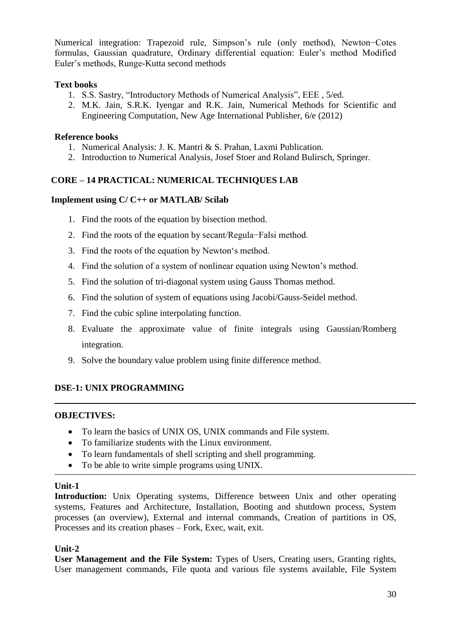Numerical integration: Trapezoid rule, Simpson"s rule (only method), Newton−Cotes formulas, Gaussian quadrature, Ordinary differential equation: Euler's method Modified Euler"s methods, Runge-Kutta second methods

## **Text books**

- 1. S.S. Sastry, "Introductory Methods of Numerical Analysis", EEE , 5/ed.
- 2. M.K. Jain, S.R.K. Iyengar and R.K. Jain, Numerical Methods for Scientific and Engineering Computation, New Age International Publisher, 6/e (2012)

#### **Reference books**

- 1. Numerical Analysis: J. K. Mantri & S. Prahan, Laxmi Publication.
- 2. Introduction to Numerical Analysis, Josef Stoer and Roland Bulirsch, Springer.

# **CORE – 14 PRACTICAL: NUMERICAL TECHNIQUES LAB**

### **Implement using C/ C++ or MATLAB/ Scilab**

- 1. Find the roots of the equation by bisection method.
- 2. Find the roots of the equation by secant/Regula−Falsi method.
- 3. Find the roots of the equation by Newton"s method.
- 4. Find the solution of a system of nonlinear equation using Newton"s method.
- 5. Find the solution of tri-diagonal system using Gauss Thomas method.
- 6. Find the solution of system of equations using Jacobi/Gauss-Seidel method.
- 7. Find the cubic spline interpolating function.
- 8. Evaluate the approximate value of finite integrals using Gaussian/Romberg integration.
- 9. Solve the boundary value problem using finite difference method.

# **DSE-1: UNIX PROGRAMMING**

#### **OBJECTIVES:**

- To learn the basics of UNIX OS, UNIX commands and File system.
- To familiarize students with the Linux environment.
- To learn fundamentals of shell scripting and shell programming.
- To be able to write simple programs using UNIX.

#### **Unit-1**

**Introduction:** Unix Operating systems, Difference between Unix and other operating systems, Features and Architecture, Installation, Booting and shutdown process, System processes (an overview), External and internal commands, Creation of partitions in OS, Processes and its creation phases – Fork, Exec, wait, exit.

#### **Unit-2**

**User Management and the File System:** Types of Users, Creating users, Granting rights, User management commands, File quota and various file systems available, File System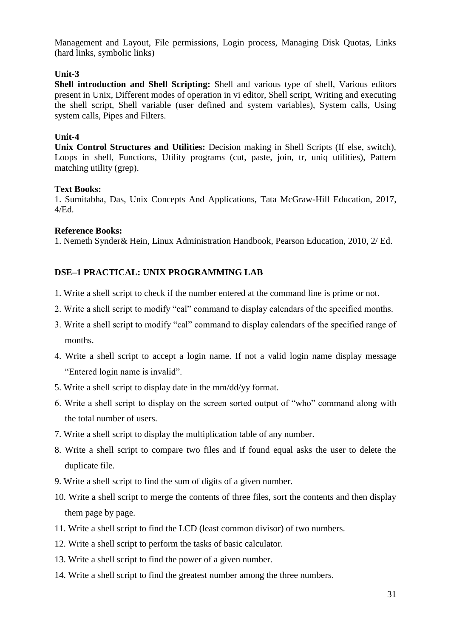Management and Layout, File permissions, Login process, Managing Disk Quotas, Links (hard links, symbolic links)

# **Unit-3**

**Shell introduction and Shell Scripting:** Shell and various type of shell, Various editors present in Unix, Different modes of operation in vi editor, Shell script, Writing and executing the shell script, Shell variable (user defined and system variables), System calls, Using system calls, Pipes and Filters.

#### **Unit-4**

**Unix Control Structures and Utilities:** Decision making in Shell Scripts (If else, switch), Loops in shell, Functions, Utility programs (cut, paste, join, tr, uniq utilities), Pattern matching utility (grep).

#### **Text Books:**

1. Sumitabha, Das, Unix Concepts And Applications, Tata McGraw-Hill Education, 2017, 4/Ed.

### **Reference Books:**

1. Nemeth Synder& Hein, Linux Administration Handbook, Pearson Education, 2010, 2/ Ed.

# **DSE–1 PRACTICAL: UNIX PROGRAMMING LAB**

- 1. Write a shell script to check if the number entered at the command line is prime or not.
- 2. Write a shell script to modify "cal" command to display calendars of the specified months.
- 3. Write a shell script to modify "cal" command to display calendars of the specified range of months.
- 4. Write a shell script to accept a login name. If not a valid login name display message "Entered login name is invalid".
- 5. Write a shell script to display date in the mm/dd/yy format.
- 6. Write a shell script to display on the screen sorted output of "who" command along with the total number of users.
- 7. Write a shell script to display the multiplication table of any number.
- 8. Write a shell script to compare two files and if found equal asks the user to delete the duplicate file.
- 9. Write a shell script to find the sum of digits of a given number.
- 10. Write a shell script to merge the contents of three files, sort the contents and then display them page by page.
- 11. Write a shell script to find the LCD (least common divisor) of two numbers.
- 12. Write a shell script to perform the tasks of basic calculator.
- 13. Write a shell script to find the power of a given number.
- 14. Write a shell script to find the greatest number among the three numbers.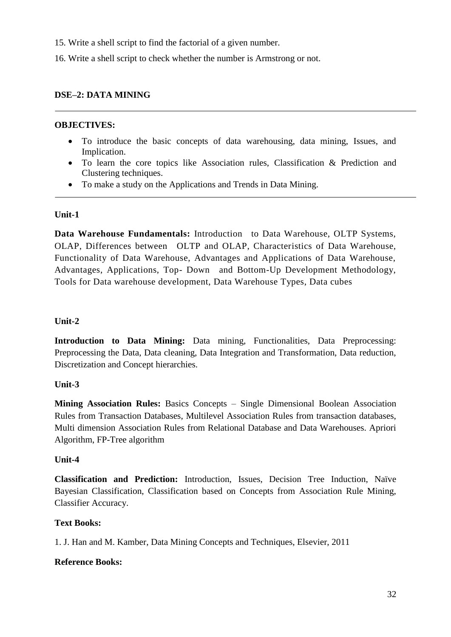15. Write a shell script to find the factorial of a given number.

16. Write a shell script to check whether the number is Armstrong or not.

## **DSE–2: DATA MINING**

#### **OBJECTIVES:**

- To introduce the basic concepts of data warehousing, data mining, Issues, and Implication.
- To learn the core topics like Association rules, Classification & Prediction and Clustering techniques.
- To make a study on the Applications and Trends in Data Mining.

# **Unit-1**

**Data Warehouse Fundamentals:** Introduction to Data Warehouse, OLTP Systems, OLAP, Differences between OLTP and OLAP, Characteristics of Data Warehouse, Functionality of Data Warehouse, Advantages and Applications of Data Warehouse, Advantages, Applications, Top- Down and Bottom-Up Development Methodology, Tools for Data warehouse development, Data Warehouse Types, Data cubes

#### **Unit-2**

**Introduction to Data Mining:** Data mining, Functionalities, Data Preprocessing: Preprocessing the Data, Data cleaning, Data Integration and Transformation, Data reduction, Discretization and Concept hierarchies.

# **Unit-3**

**Mining Association Rules:** Basics Concepts – Single Dimensional Boolean Association Rules from Transaction Databases, Multilevel Association Rules from transaction databases, Multi dimension Association Rules from Relational Database and Data Warehouses. Apriori Algorithm, FP-Tree algorithm

#### **Unit-4**

**Classification and Prediction:** Introduction, Issues, Decision Tree Induction, Naïve Bayesian Classification, Classification based on Concepts from Association Rule Mining, Classifier Accuracy.

# **Text Books:**

1. J. Han and M. Kamber, Data Mining Concepts and Techniques, Elsevier, 2011

#### **Reference Books:**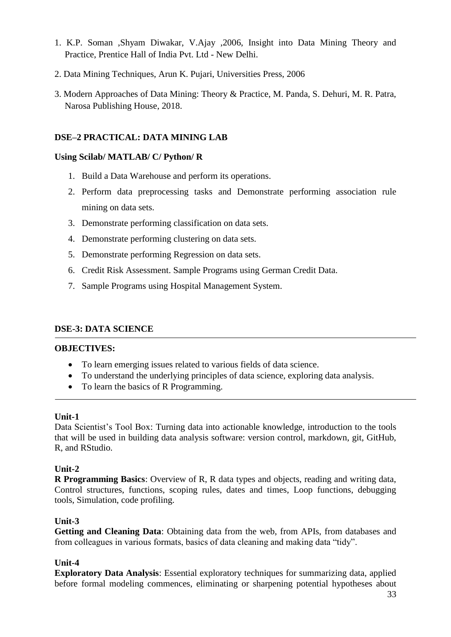- 1. K.P. Soman ,Shyam Diwakar, V.Ajay ,2006, Insight into Data Mining Theory and Practice, Prentice Hall of India Pvt. Ltd - New Delhi.
- 2. Data Mining Techniques, Arun K. Pujari, Universities Press, 2006
- 3. Modern Approaches of Data Mining: Theory & Practice, M. Panda, S. Dehuri, M. R. Patra, Narosa Publishing House, 2018.

# **DSE–2 PRACTICAL: DATA MINING LAB**

# **Using Scilab/ MATLAB/ C/ Python/ R**

- 1. Build a Data Warehouse and perform its operations.
- 2. Perform data preprocessing tasks and Demonstrate performing association rule mining on data sets.
- 3. Demonstrate performing classification on data sets.
- 4. Demonstrate performing clustering on data sets.
- 5. Demonstrate performing Regression on data sets.
- 6. Credit Risk Assessment. Sample Programs using German Credit Data.
- 7. Sample Programs using Hospital Management System.

# **DSE-3: DATA SCIENCE**

# **OBJECTIVES:**

- To learn emerging issues related to various fields of data science.
- To understand the underlying principles of data science, exploring data analysis.
- To learn the basics of R Programming.

# **Unit-1**

Data Scientist's Tool Box: Turning data into actionable knowledge, introduction to the tools that will be used in building data analysis software: version control, markdown, git, GitHub, R, and RStudio.

# **Unit-2**

**R Programming Basics**: Overview of R, R data types and objects, reading and writing data, Control structures, functions, scoping rules, dates and times, Loop functions, debugging tools, Simulation, code profiling.

# **Unit-3**

**Getting and Cleaning Data**: Obtaining data from the web, from APIs, from databases and from colleagues in various formats, basics of data cleaning and making data "tidy".

# **Unit-4**

**Exploratory Data Analysis**: Essential exploratory techniques for summarizing data, applied before formal modeling commences, eliminating or sharpening potential hypotheses about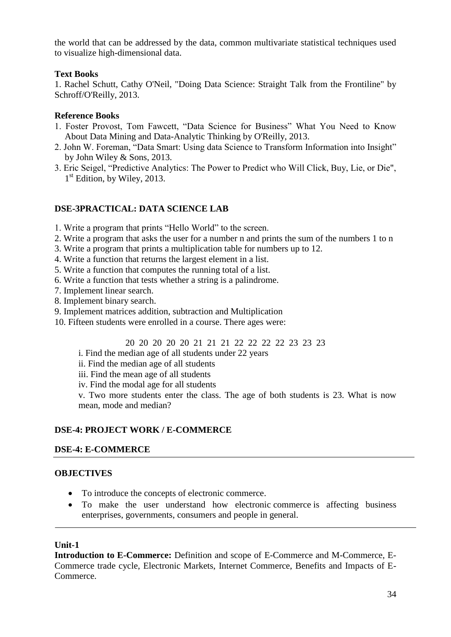the world that can be addressed by the data, common multivariate statistical techniques used to visualize high-dimensional data.

# **Text Books**

1. Rachel Schutt, Cathy O'Neil, "Doing Data Science: Straight Talk from the Frontiline" by Schroff/O'Reilly, 2013.

### **Reference Books**

- 1. Foster Provost, Tom Fawcett, "Data Science for Business" What You Need to Know About Data Mining and Data-Analytic Thinking by O'Reilly, 2013.
- 2. John W. Foreman, "Data Smart: Using data Science to Transform Information into Insight" by John Wiley & Sons, 2013.
- 3. Eric Seigel, "Predictive Analytics: The Power to Predict who Will Click, Buy, Lie, or Die", 1<sup>st</sup> Edition, by Wiley, 2013.

### **DSE-3PRACTICAL: DATA SCIENCE LAB**

- 1. Write a program that prints "Hello World" to the screen.
- 2. Write a program that asks the user for a number n and prints the sum of the numbers 1 to n
- 3. Write a program that prints a multiplication table for numbers up to 12.
- 4. Write a function that returns the largest element in a list.
- 5. Write a function that computes the running total of a list.
- 6. Write a function that tests whether a string is a palindrome.
- 7. Implement linear search.
- 8. Implement binary search.
- 9. Implement matrices addition, subtraction and Multiplication
- 10. Fifteen students were enrolled in a course. There ages were:
	- 20 20 20 20 20 21 21 21 22 22 22 22 23 23 23
	- i. Find the median age of all students under 22 years
	- ii. Find the median age of all students
	- iii. Find the mean age of all students
	- iv. Find the modal age for all students

v. Two more students enter the class. The age of both students is 23. What is now mean, mode and median?

# **DSE-4: PROJECT WORK / E-COMMERCE**

#### **DSE-4: E-COMMERCE**

#### **OBJECTIVES**

- To introduce the concepts of electronic commerce.
- To make the user understand how electronic commerce is affecting business enterprises, governments, consumers and people in general.

#### **Unit-1**

**Introduction to E-Commerce:** Definition and scope of E-Commerce and M-Commerce, E-Commerce trade cycle, Electronic Markets, Internet Commerce, Benefits and Impacts of E-Commerce.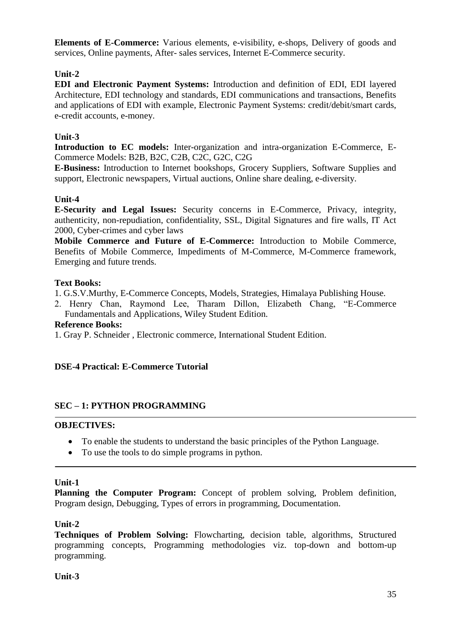**Elements of E-Commerce:** Various elements, e-visibility, e-shops, Delivery of goods and services, Online payments, After- sales services, Internet E-Commerce security.

# **Unit-2**

**EDI and Electronic Payment Systems:** Introduction and definition of EDI, EDI layered Architecture, EDI technology and standards, EDI communications and transactions, Benefits and applications of EDI with example, Electronic Payment Systems: credit/debit/smart cards, e-credit accounts, e-money.

# **Unit-3**

**Introduction to EC models:** Inter-organization and intra-organization E-Commerce, E-Commerce Models: B2B, B2C, C2B, C2C, G2C, C2G

**E-Business:** Introduction to Internet bookshops, Grocery Suppliers, Software Supplies and support, Electronic newspapers, Virtual auctions, Online share dealing, e-diversity.

# **Unit-4**

**E-Security and Legal Issues:** Security concerns in E-Commerce, Privacy, integrity, authenticity, non-repudiation, confidentiality, SSL, Digital Signatures and fire walls, IT Act 2000, Cyber-crimes and cyber laws

**Mobile Commerce and Future of E-Commerce:** Introduction to Mobile Commerce, Benefits of Mobile Commerce, Impediments of M-Commerce, M-Commerce framework, Emerging and future trends.

# **Text Books:**

1. G.S.V.Murthy, E-Commerce Concepts, Models, Strategies, Himalaya Publishing House.

2. Henry Chan, Raymond Lee, Tharam Dillon, Elizabeth Chang, "E-Commerce Fundamentals and Applications, Wiley Student Edition.

# **Reference Books:**

1. Gray P. Schneider , Electronic commerce, International Student Edition.

# **DSE-4 Practical: E-Commerce Tutorial**

# **SEC – 1: PYTHON PROGRAMMING**

# **OBJECTIVES:**

- To enable the students to understand the basic principles of the Python Language.
- To use the tools to do simple programs in python.

# **Unit-1**

Planning the Computer Program: Concept of problem solving, Problem definition, Program design, Debugging, Types of errors in programming, Documentation.

# **Unit-2**

**Techniques of Problem Solving:** Flowcharting, decision table, algorithms, Structured programming concepts, Programming methodologies viz. top-down and bottom-up programming.

# **Unit-3**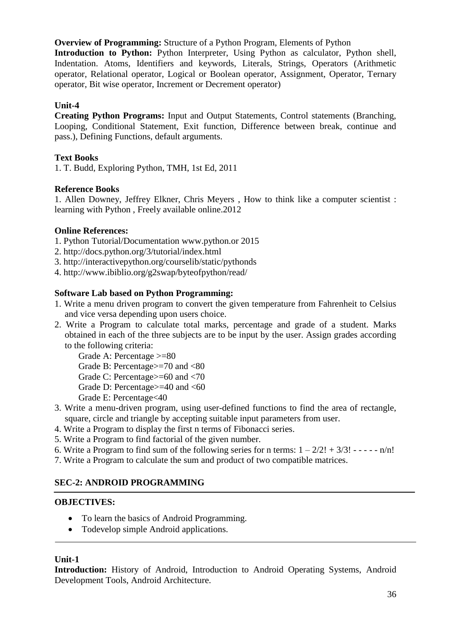**Overview of Programming:** Structure of a Python Program, Elements of Python **Introduction to Python:** Python Interpreter, Using Python as calculator, Python shell, Indentation. Atoms, Identifiers and keywords, Literals, Strings, Operators (Arithmetic operator, Relational operator, Logical or Boolean operator, Assignment, Operator, Ternary operator, Bit wise operator, Increment or Decrement operator)

# **Unit-4**

**Creating Python Programs:** Input and Output Statements, Control statements (Branching, Looping, Conditional Statement, Exit function, Difference between break, continue and pass.), Defining Functions, default arguments.

# **Text Books**

1. T. Budd, Exploring Python, TMH, 1st Ed, 2011

# **Reference Books**

1. Allen Downey, Jeffrey Elkner, Chris Meyers , How to think like a computer scientist : learning with Python , Freely available online.2012

### **Online References:**

- 1. Python Tutorial/Documentation www.python.or 2015
- 2. http://docs.python.org/3/tutorial/index.html
- 3. http://interactivepython.org/courselib/static/pythonds
- 4. http://www.ibiblio.org/g2swap/byteofpython/read/

### **Software Lab based on Python Programming:**

- 1. Write a menu driven program to convert the given temperature from Fahrenheit to Celsius and vice versa depending upon users choice.
- 2. Write a Program to calculate total marks, percentage and grade of a student. Marks obtained in each of the three subjects are to be input by the user. Assign grades according to the following criteria:
	- Grade A: Percentage >=80 Grade B: Percentage>=70 and <80 Grade C: Percentage>=60 and <70 Grade D: Percentage>=40 and <60 Grade E: Percentage<40
- 3. Write a menu-driven program, using user-defined functions to find the area of rectangle, square, circle and triangle by accepting suitable input parameters from user.
- 4. Write a Program to display the first n terms of Fibonacci series.
- 5. Write a Program to find factorial of the given number.
- 6. Write a Program to find sum of the following series for n terms:  $1 2/2! + 3/3! - - n/n!$
- 7. Write a Program to calculate the sum and product of two compatible matrices.

# **SEC-2: ANDROID PROGRAMMING**

#### **OBJECTIVES:**

- To learn the basics of Android Programming.
- Todevelop simple Android applications.

#### **Unit-1**

**Introduction:** History of Android, Introduction to Android Operating Systems, Android Development Tools, Android Architecture.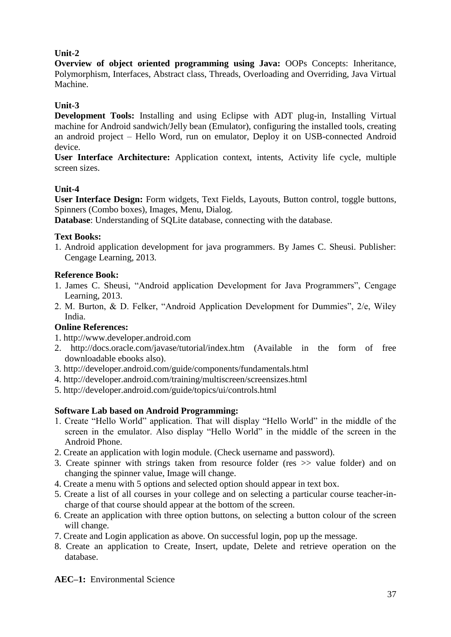# **Unit-2**

**Overview of object oriented programming using Java:** OOPs Concepts: Inheritance, Polymorphism, Interfaces, Abstract class, Threads, Overloading and Overriding, Java Virtual Machine.

# **Unit-3**

**Development Tools:** Installing and using Eclipse with ADT plug-in, Installing Virtual machine for Android sandwich/Jelly bean (Emulator), configuring the installed tools, creating an android project – Hello Word, run on emulator, Deploy it on USB-connected Android device.

**User Interface Architecture:** Application context, intents, Activity life cycle, multiple screen sizes.

# **Unit-4**

**User Interface Design:** Form widgets, Text Fields, Layouts, Button control, toggle buttons, Spinners (Combo boxes), Images, Menu, Dialog.

**Database**: Understanding of SQLite database, connecting with the database.

# **Text Books:**

1. Android application development for java programmers. By James C. Sheusi. Publisher: Cengage Learning, 2013.

# **Reference Book:**

- 1. James C. Sheusi, "Android application Development for Java Programmers", Cengage Learning, 2013.
- 2. M. Burton, & D. Felker, "Android Application Development for Dummies", 2/e, Wiley India.

# **Online References:**

- 1. http://www.developer.android.com
- 2. http://docs.oracle.com/javase/tutorial/index.htm (Available in the form of free downloadable ebooks also).
- 3. http://developer.android.com/guide/components/fundamentals.html
- 4. http://developer.android.com/training/multiscreen/screensizes.html
- 5. http://developer.android.com/guide/topics/ui/controls.html

# **Software Lab based on Android Programming:**

- 1. Create "Hello World" application. That will display "Hello World" in the middle of the screen in the emulator. Also display "Hello World" in the middle of the screen in the Android Phone.
- 2. Create an application with login module. (Check username and password).
- 3. Create spinner with strings taken from resource folder (res >> value folder) and on changing the spinner value, Image will change.
- 4. Create a menu with 5 options and selected option should appear in text box.
- 5. Create a list of all courses in your college and on selecting a particular course teacher-incharge of that course should appear at the bottom of the screen.
- 6. Create an application with three option buttons, on selecting a button colour of the screen will change.
- 7. Create and Login application as above. On successful login, pop up the message.
- 8. Create an application to Create, Insert, update, Delete and retrieve operation on the database.

**AEC–1:** Environmental Science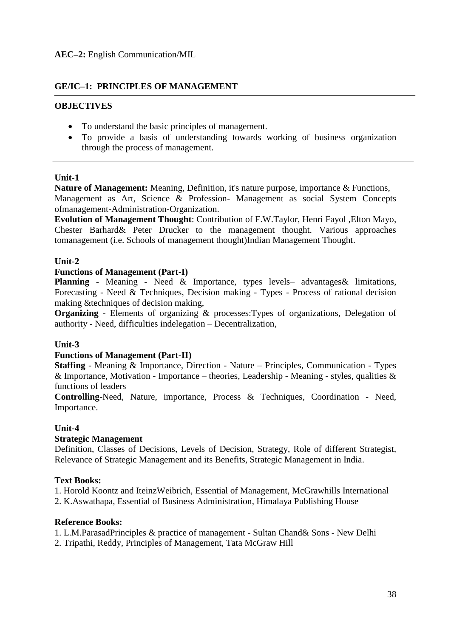# **GE/IC–1: PRINCIPLES OF MANAGEMENT**

### **OBJECTIVES**

- To understand the basic principles of management.
- To provide a basis of understanding towards working of business organization through the process of management.

#### **Unit-1**

**Nature of Management:** Meaning, Definition, it's nature purpose, importance & Functions, Management as Art, Science & Profession- Management as social System Concepts ofmanagement-Administration-Organization.

**Evolution of Management Thought**: Contribution of F.W.Taylor, Henri Fayol ,Elton Mayo, Chester Barhard& Peter Drucker to the management thought. Various approaches tomanagement (i.e. Schools of management thought)Indian Management Thought.

### **Unit-2**

#### **Functions of Management (Part-I)**

**Planning** - Meaning - Need & Importance, types levels- advantages & limitations, Forecasting - Need & Techniques, Decision making - Types - Process of rational decision making &techniques of decision making,

**Organizing** - Elements of organizing & processes: Types of organizations, Delegation of authority - Need, difficulties indelegation – Decentralization,

#### **Unit-3**

#### **Functions of Management (Part-II)**

**Staffing** - Meaning & Importance, Direction - Nature – Principles, Communication - Types & Importance, Motivation - Importance – theories, Leadership - Meaning - styles, qualities & functions of leaders

**Controlling**-Need, Nature, importance, Process & Techniques, Coordination - Need, Importance.

# **Unit-4**

#### **Strategic Management**

Definition, Classes of Decisions, Levels of Decision, Strategy, Role of different Strategist, Relevance of Strategic Management and its Benefits, Strategic Management in India.

#### **Text Books:**

1. Horold Koontz and IteinzWeibrich, Essential of Management, McGrawhills International

2. K.Aswathapa, Essential of Business Administration, Himalaya Publishing House

#### **Reference Books:**

1. L.M.ParasadPrinciples & practice of management - Sultan Chand& Sons - New Delhi

2. Tripathi, Reddy, Principles of Management, Tata McGraw Hill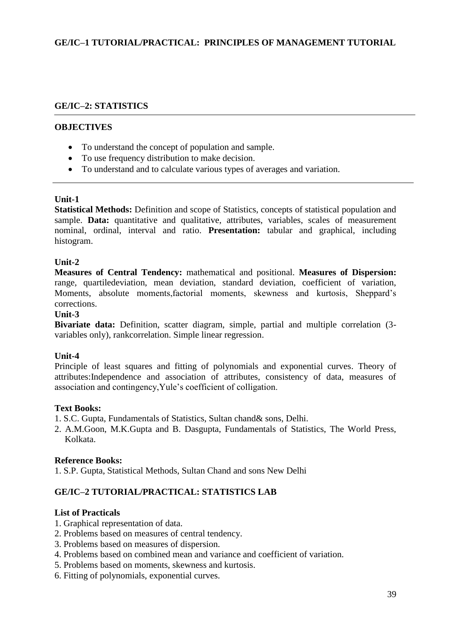# **GE/IC–1 TUTORIAL/PRACTICAL: PRINCIPLES OF MANAGEMENT TUTORIAL**

#### **GE/IC–2: STATISTICS**

#### **OBJECTIVES**

- To understand the concept of population and sample.
- To use frequency distribution to make decision.
- To understand and to calculate various types of averages and variation.

#### **Unit-1**

**Statistical Methods:** Definition and scope of Statistics, concepts of statistical population and sample. **Data:** quantitative and qualitative, attributes, variables, scales of measurement nominal, ordinal, interval and ratio. **Presentation:** tabular and graphical, including histogram.

#### **Unit-2**

**Measures of Central Tendency:** mathematical and positional. **Measures of Dispersion:**  range, quartiledeviation, mean deviation, standard deviation, coefficient of variation, Moments, absolute moments,factorial moments, skewness and kurtosis, Sheppard"s corrections.

#### **Unit-3**

**Bivariate data:** Definition, scatter diagram, simple, partial and multiple correlation (3 variables only), rankcorrelation. Simple linear regression.

#### **Unit-4**

Principle of least squares and fitting of polynomials and exponential curves. Theory of attributes:Independence and association of attributes, consistency of data, measures of association and contingency,Yule"s coefficient of colligation.

#### **Text Books:**

1. S.C. Gupta, Fundamentals of Statistics, Sultan chand& sons, Delhi.

2. A.M.Goon, M.K.Gupta and B. Dasgupta, Fundamentals of Statistics, The World Press, Kolkata.

#### **Reference Books:**

1. S.P. Gupta, Statistical Methods, Sultan Chand and sons New Delhi

#### **GE/IC–2 TUTORIAL/PRACTICAL: STATISTICS LAB**

#### **List of Practicals**

- 1. Graphical representation of data.
- 2. Problems based on measures of central tendency.
- 3. Problems based on measures of dispersion.
- 4. Problems based on combined mean and variance and coefficient of variation.
- 5. Problems based on moments, skewness and kurtosis.
- 6. Fitting of polynomials, exponential curves.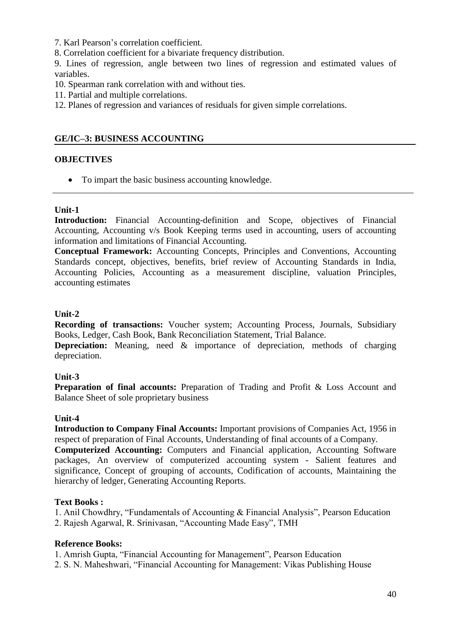7. Karl Pearson"s correlation coefficient.

8. Correlation coefficient for a bivariate frequency distribution.

9. Lines of regression, angle between two lines of regression and estimated values of variables.

- 10. Spearman rank correlation with and without ties.
- 11. Partial and multiple correlations.
- 12. Planes of regression and variances of residuals for given simple correlations.

## **GE/IC–3: BUSINESS ACCOUNTING**

#### **OBJECTIVES**

• To impart the basic business accounting knowledge.

### **Unit-1**

**Introduction:** Financial Accounting-definition and Scope, objectives of Financial Accounting, Accounting v/s Book Keeping terms used in accounting, users of accounting information and limitations of Financial Accounting.

**Conceptual Framework:** Accounting Concepts, Principles and Conventions, Accounting Standards concept, objectives, benefits, brief review of Accounting Standards in India, Accounting Policies, Accounting as a measurement discipline, valuation Principles, accounting estimates

### **Unit-2**

**Recording of transactions:** Voucher system; Accounting Process, Journals, Subsidiary Books, Ledger, Cash Book, Bank Reconciliation Statement, Trial Balance.

**Depreciation:** Meaning, need & importance of depreciation, methods of charging depreciation.

#### **Unit-3**

**Preparation of final accounts:** Preparation of Trading and Profit & Loss Account and Balance Sheet of sole proprietary business

#### **Unit-4**

**Introduction to Company Final Accounts:** Important provisions of Companies Act, 1956 in respect of preparation of Final Accounts, Understanding of final accounts of a Company.

**Computerized Accounting:** Computers and Financial application, Accounting Software packages, An overview of computerized accounting system - Salient features and significance, Concept of grouping of accounts, Codification of accounts, Maintaining the hierarchy of ledger, Generating Accounting Reports.

#### **Text Books :**

1. Anil Chowdhry, "Fundamentals of Accounting & Financial Analysis", Pearson Education

2. Rajesh Agarwal, R. Srinivasan, "Accounting Made Easy", TMH

# **Reference Books:**

1. Amrish Gupta, "Financial Accounting for Management", Pearson Education

2. S. N. Maheshwari, "Financial Accounting for Management: Vikas Publishing House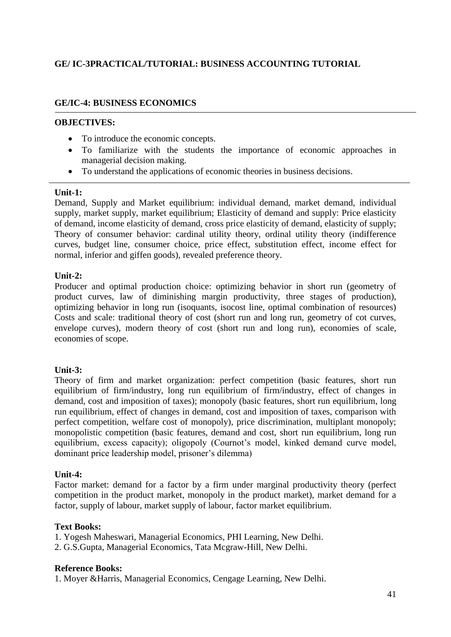# **GE/ IC-3PRACTICAL/TUTORIAL: BUSINESS ACCOUNTING TUTORIAL**

# **GE/IC-4: BUSINESS ECONOMICS**

## **OBJECTIVES:**

- To introduce the economic concepts.
- To familiarize with the students the importance of economic approaches in managerial decision making.
- To understand the applications of economic theories in business decisions.

#### **Unit-1:**

Demand, Supply and Market equilibrium: individual demand, market demand, individual supply, market supply, market equilibrium; Elasticity of demand and supply: Price elasticity of demand, income elasticity of demand, cross price elasticity of demand, elasticity of supply; Theory of consumer behavior: cardinal utility theory, ordinal utility theory (indifference curves, budget line, consumer choice, price effect, substitution effect, income effect for normal, inferior and giffen goods), revealed preference theory.

### **Unit-2:**

Producer and optimal production choice: optimizing behavior in short run (geometry of product curves, law of diminishing margin productivity, three stages of production), optimizing behavior in long run (isoquants, isocost line, optimal combination of resources) Costs and scale: traditional theory of cost (short run and long run, geometry of cot curves, envelope curves), modern theory of cost (short run and long run), economies of scale, economies of scope.

# **Unit-3:**

Theory of firm and market organization: perfect competition (basic features, short run equilibrium of firm/industry, long run equilibrium of firm/industry, effect of changes in demand, cost and imposition of taxes); monopoly (basic features, short run equilibrium, long run equilibrium, effect of changes in demand, cost and imposition of taxes, comparison with perfect competition, welfare cost of monopoly), price discrimination, multiplant monopoly; monopolistic competition (basic features, demand and cost, short run equilibrium, long run equilibrium, excess capacity); oligopoly (Cournot's model, kinked demand curve model, dominant price leadership model, prisoner"s dilemma)

# **Unit-4:**

Factor market: demand for a factor by a firm under marginal productivity theory (perfect competition in the product market, monopoly in the product market), market demand for a factor, supply of labour, market supply of labour, factor market equilibrium.

# **Text Books:**

- 1. Yogesh Maheswari, Managerial Economics, PHI Learning, New Delhi.
- 2. G.S.Gupta, Managerial Economics, Tata Mcgraw-Hill, New Delhi.

#### **Reference Books:**

1. Moyer &Harris, Managerial Economics, Cengage Learning, New Delhi.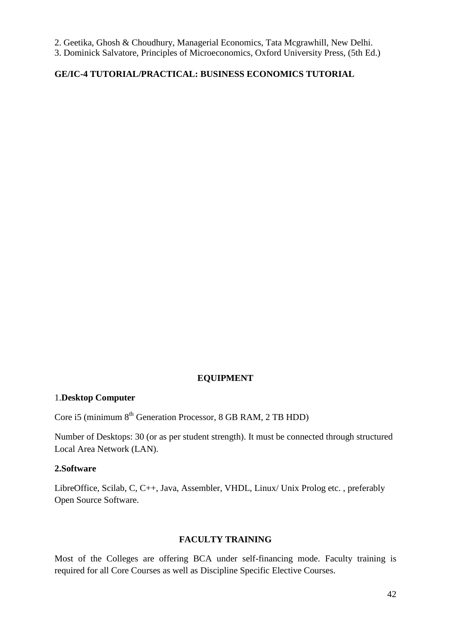2. Geetika, Ghosh & Choudhury, Managerial Economics, Tata Mcgrawhill, New Delhi.

3. Dominick Salvatore, Principles of Microeconomics, Oxford University Press, (5th Ed.)

# **GE/IC-4 TUTORIAL/PRACTICAL: BUSINESS ECONOMICS TUTORIAL**

#### **EQUIPMENT**

#### 1.**Desktop Computer**

Core i5 (minimum 8<sup>th</sup> Generation Processor, 8 GB RAM, 2 TB HDD)

Number of Desktops: 30 (or as per student strength). It must be connected through structured Local Area Network (LAN).

#### **2.Software**

LibreOffice, Scilab, C, C++, Java, Assembler, VHDL, Linux/ Unix Prolog etc. , preferably Open Source Software.

### **FACULTY TRAINING**

Most of the Colleges are offering BCA under self-financing mode. Faculty training is required for all Core Courses as well as Discipline Specific Elective Courses.